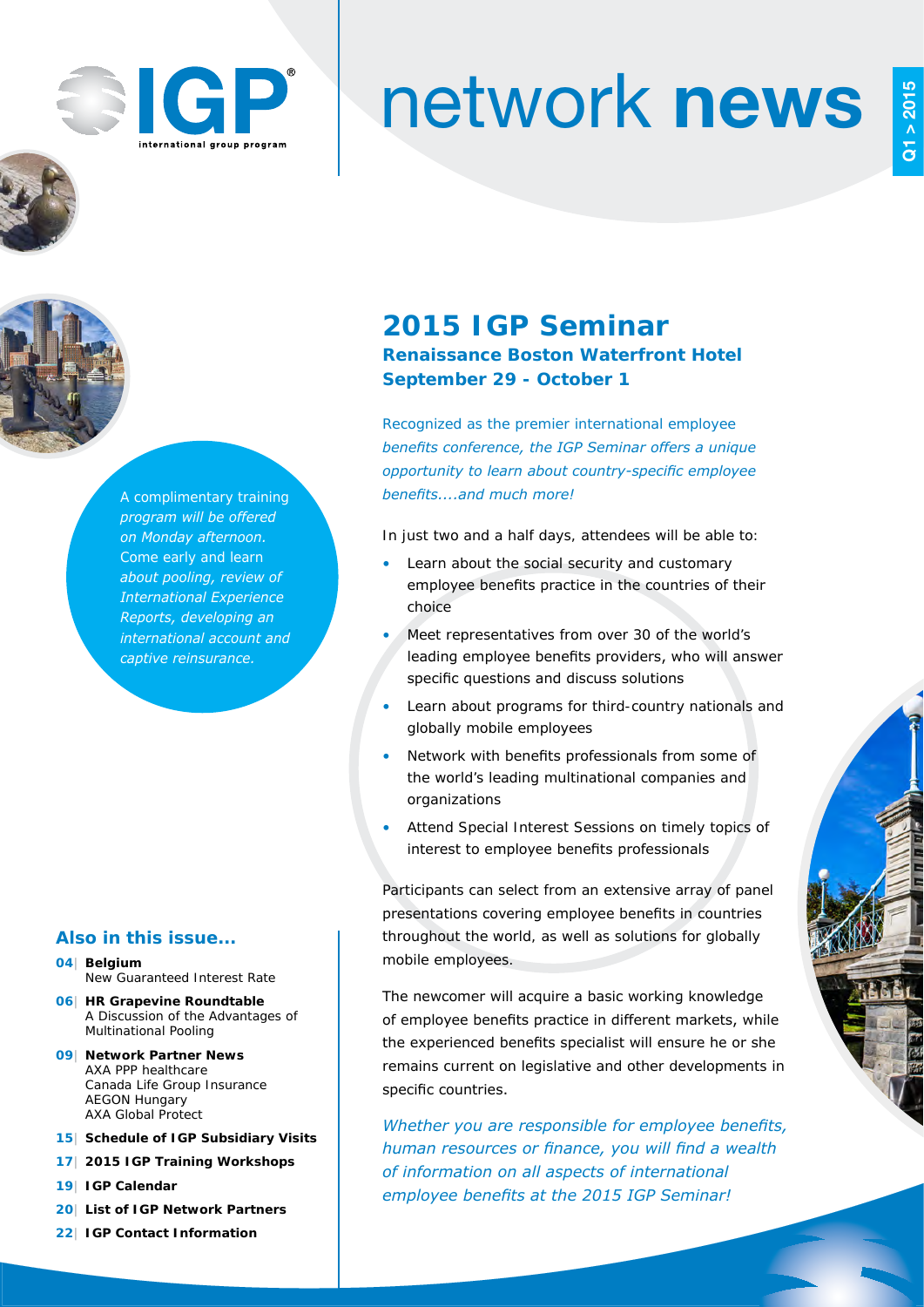

# network news





*A complimentary training program will be offered on Monday afternoon. Come early and learn about pooling, review of International Experience Reports, developing an international account and captive reinsurance.* 

## **Also in this issue...**

- **04| Belgium** New Guaranteed Interest Rate
- **06| HR Grapevine Roundtable**  A Discussion of the Advantages of Multinational Pooling
- **09| Network Partner News**  AXA PPP healthcare Canada Life Group Insurance AEGON Hungary AXA Global Protect
- **15| Schedule of IGP Subsidiary Visits**
- **17| 2015 IGP Training Workshops**
- **19| IGP Calendar**
- **20| List of IGP Network Partners**
- **22| IGP Contact Information**

# **2015 IGP Seminar Renaissance Boston Waterfront Hotel September 29 - October 1**

*Recognized as the premier international employee benefits conference, the IGP Seminar offers a unique opportunity to learn about country-specific employee benefits....and much more!*

In just two and a half days, attendees will be able to:

- Learn about the social security and customary employee benefits practice in the countries of their choice
- Meet representatives from over 30 of the world's leading employee benefits providers, who will answer specific questions and discuss solutions
- Learn about programs for third-country nationals and globally mobile employees
- Network with benefits professionals from some of the world's leading multinational companies and organizations
- Attend Special Interest Sessions on timely topics of interest to employee benefits professionals

Participants can select from an extensive array of panel presentations covering employee benefits in countries throughout the world, as well as solutions for globally mobile employees.

The newcomer will acquire a basic working knowledge of employee benefits practice in different markets, while the experienced benefits specialist will ensure he or she remains current on legislative and other developments in specific countries.

*Whether you are responsible for employee benefits, human resources or finance, you will find a wealth of information on all aspects of international employee benefits at the 2015 IGP Seminar!*

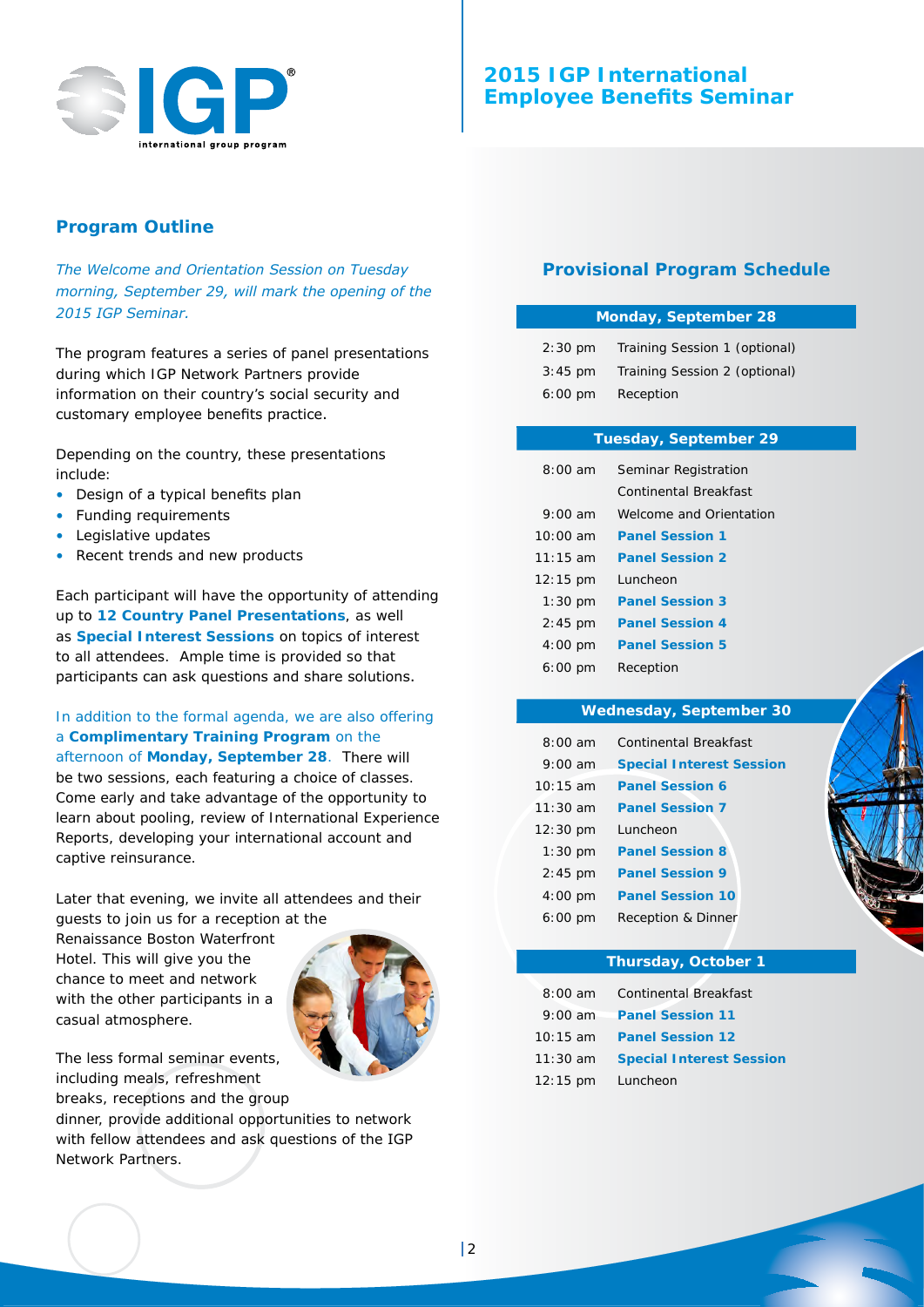

# **2015 IGP International Employee Benefits Seminar**

## **Program Outline**

*The Welcome and Orientation Session on Tuesday morning, September 29, will mark the opening of the 2015 IGP Seminar.*

The program features a series of panel presentations during which IGP Network Partners provide information on their country's social security and customary employee benefits practice.

Depending on the country, these presentations include:

- Design of a typical benefits plan
- Funding requirements
- Legislative updates
- Recent trends and new products

Each participant will have the opportunity of attending up to **12 Country Panel Presentations**, as well as **Special Interest Sessions** on topics of interest to all attendees. Ample time is provided so that participants can ask questions and share solutions.

In addition to the formal agenda, we are also offering a **Complimentary Training Program** on the afternoon of **Monday, September 28**. There will be two sessions, each featuring a choice of classes. Come early and take advantage of the opportunity to learn about pooling, review of International Experience Reports, developing your international account and captive reinsurance.

Later that evening, we invite all attendees and their guests to join us for a reception at the

Renaissance Boston Waterfront Hotel. This will give you the chance to meet and network with the other participants in a casual atmosphere.



The less formal seminar events, including meals, refreshment breaks, receptions and the group

dinner, provide additional opportunities to network with fellow attendees and ask questions of the IGP Network Partners.

## **Provisional Program Schedule**

#### **Monday, September 28**

| $2:30 \text{ pm}$ | Training Session 1 (optional) |
|-------------------|-------------------------------|
| $3:45$ pm         | Training Session 2 (optional) |
| $6:00 \text{ pm}$ | Reception                     |

#### **Tuesday, September 29**

| $8:00$ am           | Seminar Registration    |  |
|---------------------|-------------------------|--|
|                     | Continental Breakfast   |  |
| $9:00 \text{ am}$   | Welcome and Orientation |  |
| $10:00$ am          | <b>Panel Session 1</b>  |  |
| $11:15$ am          | <b>Panel Session 2</b>  |  |
| $12:15 \text{ pm}$  | Luncheon                |  |
| $1:30 \; \text{pm}$ | <b>Panel Session 3</b>  |  |
| $2:45$ pm           | <b>Panel Session 4</b>  |  |
| $4:00 \; \text{pm}$ | <b>Panel Session 5</b>  |  |
| $6:00 \; \text{pm}$ | Reception               |  |

#### **Wednesday, September 30**

| $8:00$ am           | Continental Breakfast           |
|---------------------|---------------------------------|
| $9:00 \text{ am}$   | <b>Special Interest Session</b> |
| $10:15$ am          | <b>Panel Session 6</b>          |
| $11:30$ am          | <b>Panel Session 7</b>          |
| $12:30 \text{ pm}$  | Luncheon                        |
| $1:30$ pm           | <b>Panel Session 8</b>          |
| $2:45$ pm           | <b>Panel Session 9</b>          |
| $4:00 \; \text{pm}$ | <b>Panel Session 10</b>         |
| $6:00 \; \text{pm}$ | Reception & Dinner              |

#### **Thursday, October 1**

| $8:00$ am          | <b>Continental Breakfast</b>    |
|--------------------|---------------------------------|
| $9:00$ am          | <b>Panel Session 11</b>         |
| $10:15$ am         | <b>Panel Session 12</b>         |
| $11:30$ am         | <b>Special Interest Session</b> |
| $12:15 \text{ pm}$ | Luncheon                        |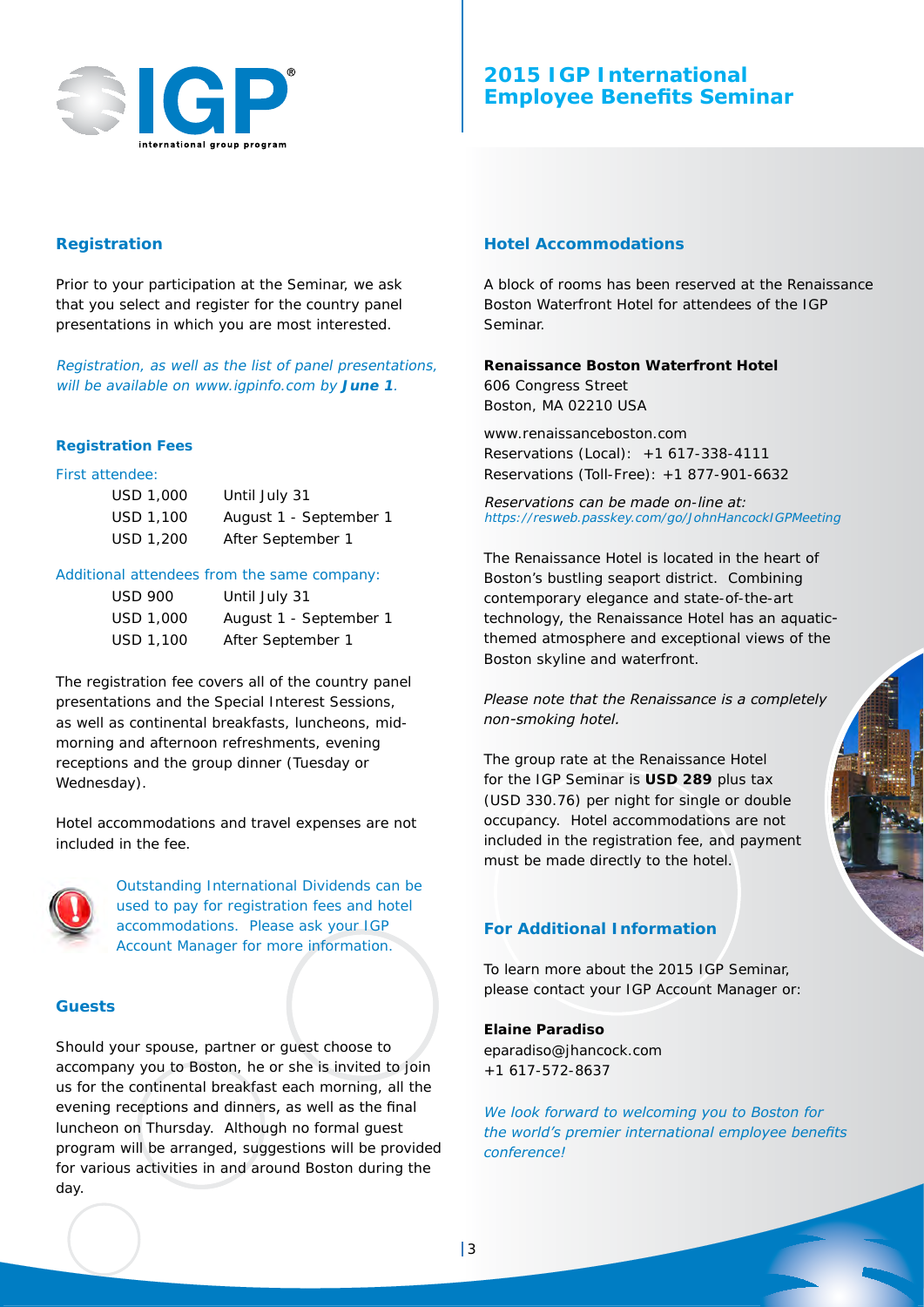

# **2015 IGP International Employee Benefits Seminar**

## **Registration**

Prior to your participation at the Seminar, we ask that you select and register for the country panel presentations in which you are most interested.

Registration, as well as the list of panel presentations, will be available on www.igpinfo.com by **June 1**.

#### **Registration Fees**

## First attendee:

| USD 1,000 | Until July 31          |
|-----------|------------------------|
| USD 1.100 | August 1 - September 1 |
| USD 1,200 | After September 1      |

#### Additional attendees from the same company:

| USD 900   | Until July 31          |
|-----------|------------------------|
| USD 1,000 | August 1 - September 1 |
| USD 1,100 | After September 1      |

The registration fee covers all of the country panel presentations and the Special Interest Sessions, as well as continental breakfasts, luncheons, midmorning and afternoon refreshments, evening receptions and the group dinner (Tuesday or Wednesday).

Hotel accommodations and travel expenses are not included in the fee.



Outstanding International Dividends can be used to pay for registration fees and hotel accommodations. Please ask your IGP Account Manager for more information.

#### **Guests**

Should your spouse, partner or guest choose to accompany you to Boston, he or she is invited to join us for the continental breakfast each morning, all the evening receptions and dinners, as well as the final luncheon on Thursday. Although no formal guest program will be arranged, suggestions will be provided for various activities in and around Boston during the day.

#### **Hotel Accommodations**

A block of rooms has been reserved at the Renaissance Boston Waterfront Hotel for attendees of the IGP Seminar.

**Renaissance Boston Waterfront Hotel** 606 Congress Street Boston, MA 02210 USA

www.renaissanceboston.com Reservations (Local): +1 617-338-4111 Reservations (Toll-Free): +1 877-901-6632

Reservations can be made on-line at: https://resweb.passkey.com/go/JohnHancockIGPMeeting

The Renaissance Hotel is located in the heart of Boston's bustling seaport district. Combining contemporary elegance and state-of-the-art technology, the Renaissance Hotel has an aquaticthemed atmosphere and exceptional views of the Boston skyline and waterfront.

*Please note that the Renaissance is a completely non-smoking hotel.*

The group rate at the Renaissance Hotel for the IGP Seminar is **USD 289** plus tax (USD 330.76) per night for single or double occupancy. Hotel accommodations are not included in the registration fee, and payment must be made directly to the hotel.

#### **For Additional Information**

To learn more about the 2015 IGP Seminar, please contact your IGP Account Manager or:

#### **Elaine Paradiso**

eparadiso@jhancock.com +1 617-572-8637

*We look forward to welcoming you to Boston for the world's premier international employee benefits conference!*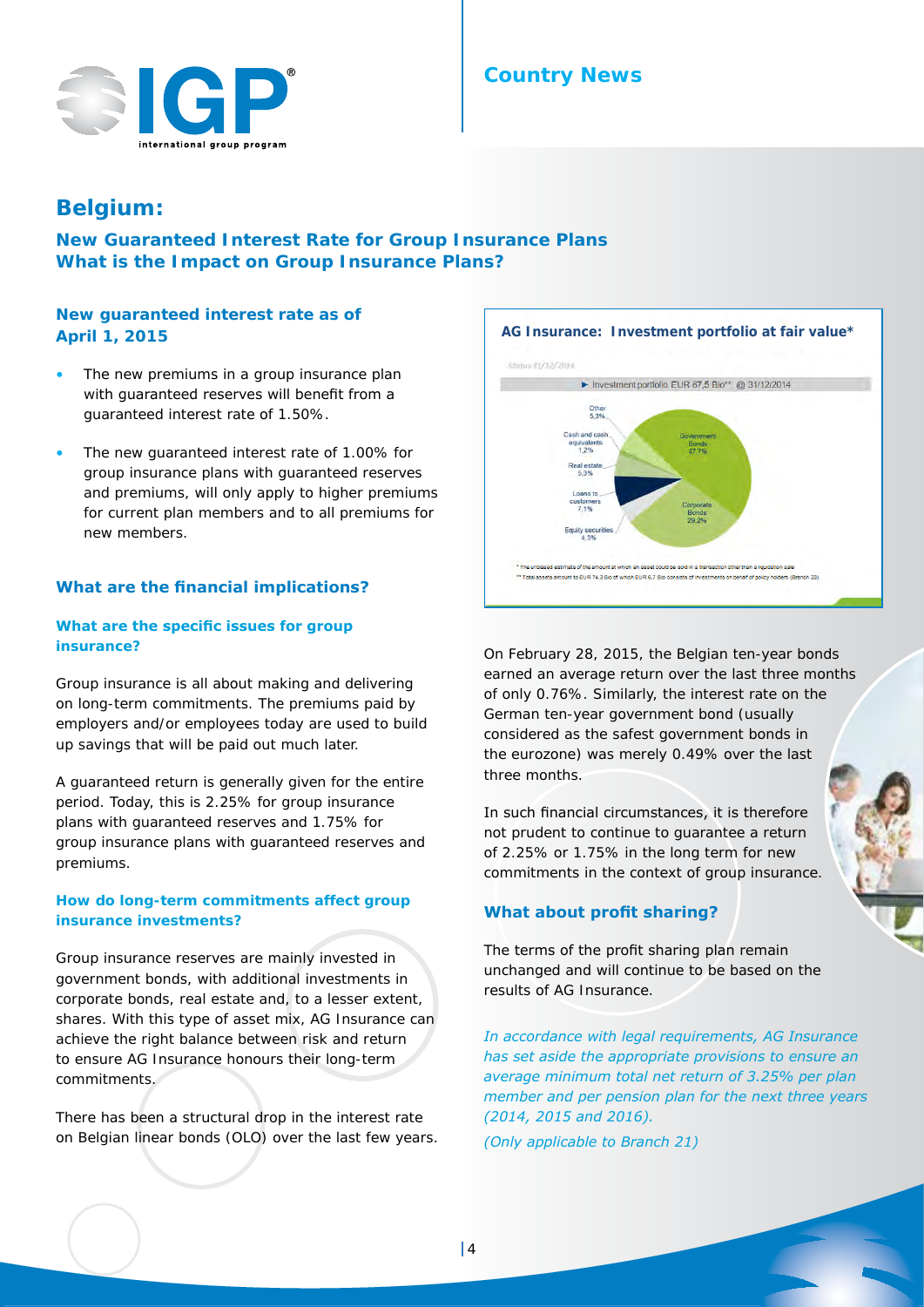# **Country News**



# **Belgium:**

**New Guaranteed Interest Rate for Group Insurance Plans What is the Impact on Group Insurance Plans?**

## **New guaranteed interest rate as of April 1, 2015**

- The new premiums in a group insurance plan with guaranteed reserves will benefit from a guaranteed interest rate of 1.50%.
- The new quaranteed interest rate of 1.00% for group insurance plans with guaranteed reserves and premiums, will only apply to higher premiums for current plan members and to all premiums for new members.

#### **What are the financial implications?**

#### **What are the specific issues for group insurance?**

Group insurance is all about making and delivering on long-term commitments. The premiums paid by employers and/or employees today are used to build up savings that will be paid out much later.

A guaranteed return is generally given for the entire period. Today, this is 2.25% for group insurance plans with guaranteed reserves and 1.75% for group insurance plans with guaranteed reserves and premiums.

#### **How do long-term commitments affect group insurance investments?**

Group insurance reserves are mainly invested in government bonds, with additional investments in corporate bonds, real estate and, to a lesser extent, shares. With this type of asset mix, AG Insurance can achieve the right balance between risk and return to ensure AG Insurance honours their long-term commitments.

There has been a structural drop in the interest rate on Belgian linear bonds (OLO) over the last few years.



On February 28, 2015, the Belgian ten-year bonds earned an average return over the last three months of only 0.76%. Similarly, the interest rate on the German ten-year government bond (usually considered as the safest government bonds in the eurozone) was merely 0.49% over the last three months.

In such financial circumstances, it is therefore not prudent to continue to guarantee a return of 2.25% or 1.75% in the long term for new commitments in the context of group insurance.

#### **What about profit sharing?**

The terms of the profit sharing plan remain unchanged and will continue to be based on the results of AG Insurance.

*In accordance with legal requirements, AG Insurance has set aside the appropriate provisions to ensure an average minimum total net return of 3.25% per plan member and per pension plan for the next three years (2014, 2015 and 2016).*

*(Only applicable to Branch 21)*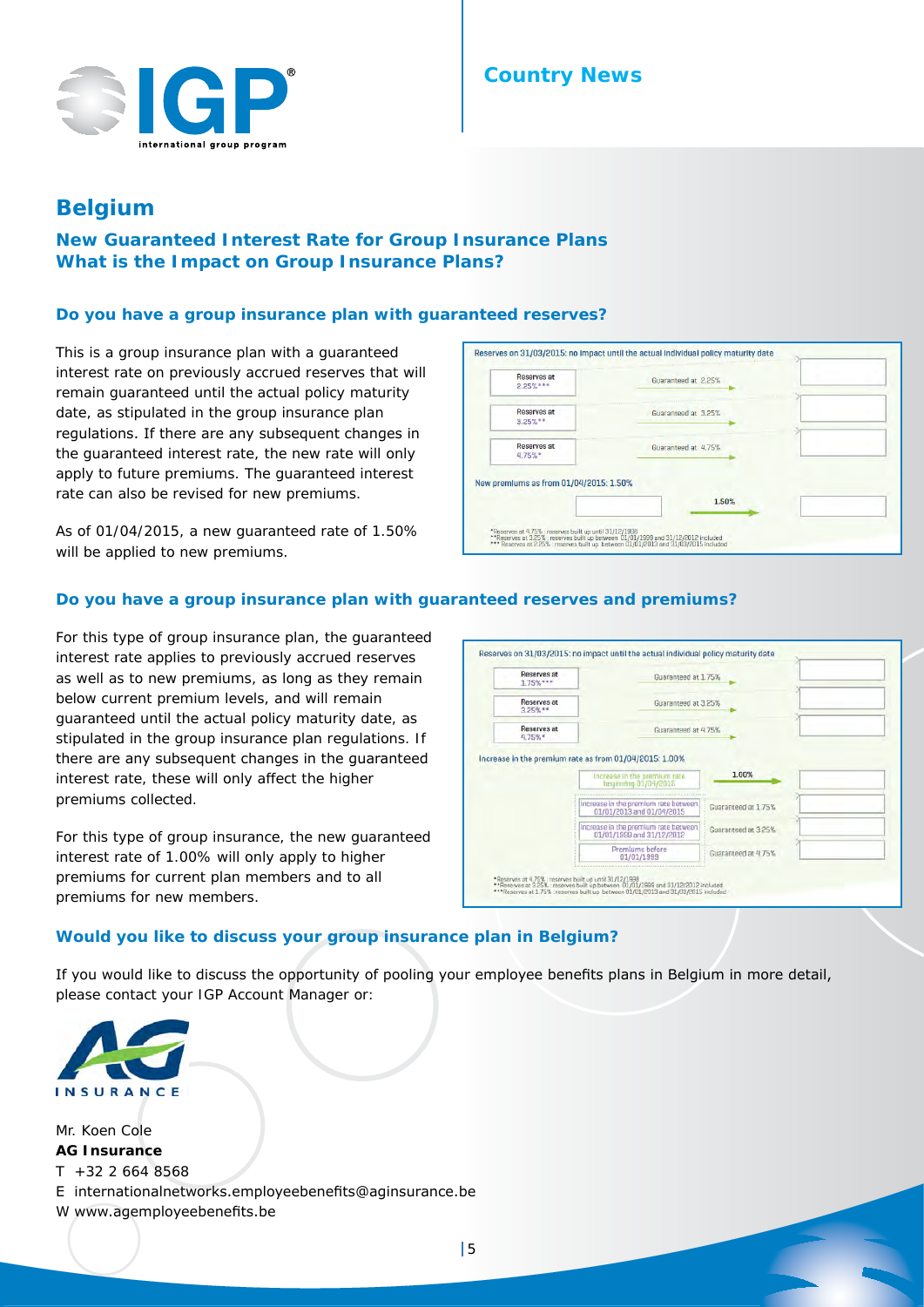

# **Country News**

# **Belgium**

# **New Guaranteed Interest Rate for Group Insurance Plans What is the Impact on Group Insurance Plans?**

#### **Do you have a group insurance plan with guaranteed reserves?**

This is a group insurance plan with a guaranteed interest rate on previously accrued reserves that will remain guaranteed until the actual policy maturity date, as stipulated in the group insurance plan regulations. If there are any subsequent changes in the guaranteed interest rate, the new rate will only apply to future premiums. The guaranteed interest rate can also be revised for new premiums.

As of 01/04/2015, a new guaranteed rate of 1.50% will be applied to new premiums.

| <b>Reserves at</b><br>$2.25%***$       | Guaranteed at 2.25% |
|----------------------------------------|---------------------|
| <b>Reserves at</b><br>$3.25\%**$       | Guaranteed at 3.25% |
| Reserves at<br>4.75%                   | Guaranteed at 4.75% |
| New premiums as from 01/04/2015: 1.50% | 1.50%               |
|                                        |                     |

#### **Do you have a group insurance plan with guaranteed reserves and premiums?**

For this type of group insurance plan, the guaranteed interest rate applies to previously accrued reserves as well as to new premiums, as long as they remain below current premium levels, and will remain guaranteed until the actual policy maturity date, as stipulated in the group insurance plan regulations. If there are any subsequent changes in the guaranteed interest rate, these will only affect the higher premiums collected.

For this type of group insurance, the new guaranteed interest rate of 1.00% will only apply to higher premiums for current plan members and to all premiums for new members.

| <b>Reserves at</b><br>$1.75%***$ | Guaranteed at 1.75%                                               |                     |  |
|----------------------------------|-------------------------------------------------------------------|---------------------|--|
| <b>Reserves at</b><br>$3.25%$ ** | Guaranteed at 3.25%                                               |                     |  |
| <b>Reserves at</b><br>4.75%*     | Guaranteed at 4.75%                                               |                     |  |
|                                  | Increase in the premium rate as from 01/04/2015: 1.00%            |                     |  |
|                                  | Increase in the premium rate<br>heginolog 01/04/2015              | 1.00%               |  |
|                                  |                                                                   |                     |  |
|                                  | Increase in the premium rate between<br>01/01/2013 and 01/04/2015 | Guaranteed at 1.75% |  |
|                                  | Increase in the premium rate between<br>01/01/1999 and 31/12/2012 | Guaranteed at 3.25% |  |

## **Would you like to discuss your group insurance plan in Belgium?**

If you would like to discuss the opportunity of pooling your employee benefits plans in Belgium in more detail, please contact your IGP Account Manager or:



Mr. Koen Cole **AG Insurance**  $T + 322 664 8568$ E internationalnetworks.employeebenefits@aginsurance.be W www.agemployeebenefits.be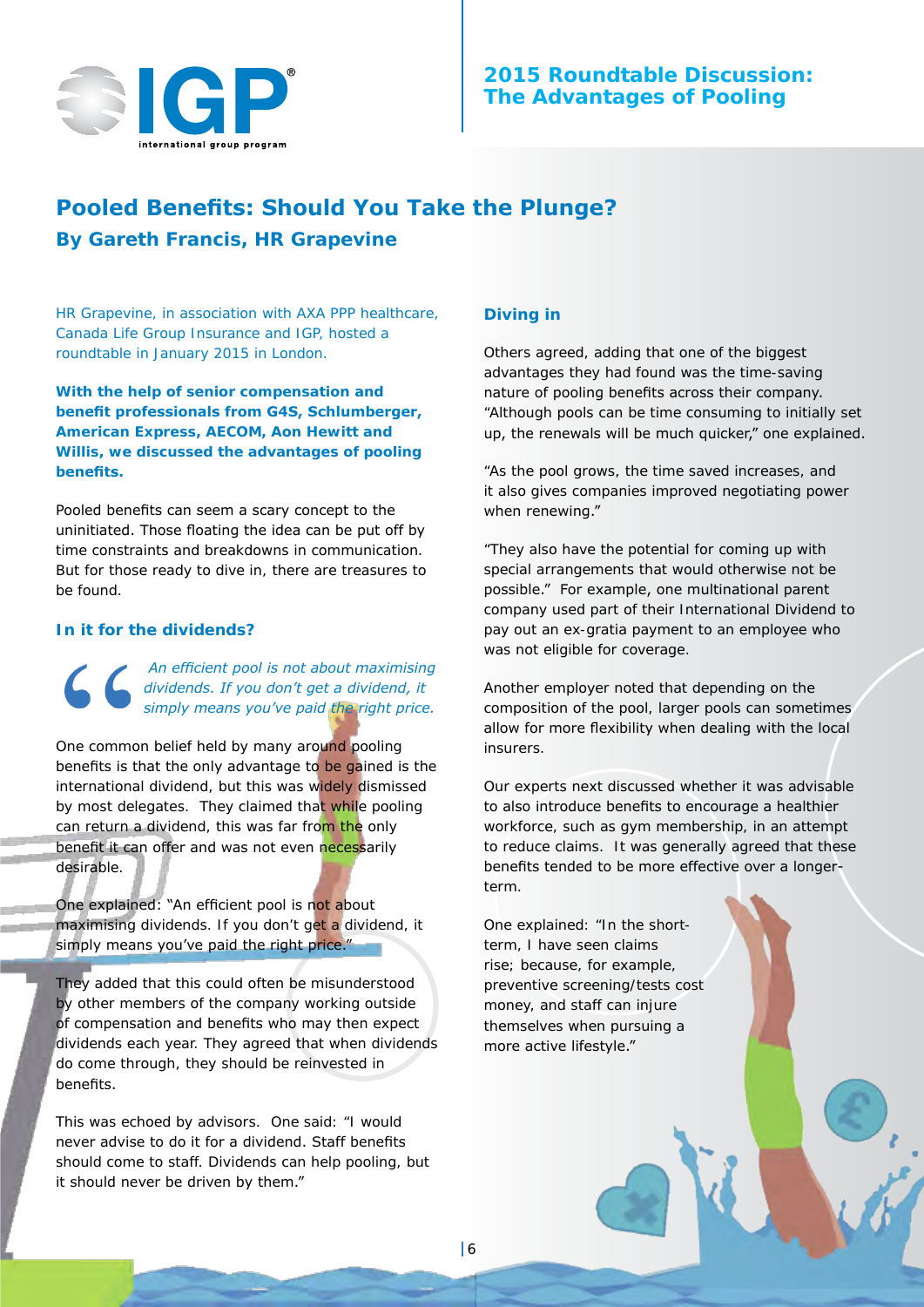

# **2015 Roundtable Discussion: The Advantages of Pooling**

# **Pooled Benefits: Should You Take the Plunge? By Gareth Francis,** *HR Grapevine*

HR Grapevine, in association with AXA PPP healthcare, Canada Life Group Insurance and IGP, hosted a roundtable in January 2015 in London.

**With the help of senior compensation and benefit professionals from G4S, Schlumberger, American Express, AECOM, Aon Hewitt and Willis, we discussed the advantages of pooling benefits.**

Pooled benefits can seem a scary concept to the uninitiated. Those floating the idea can be put off by time constraints and breakdowns in communication. But for those ready to dive in, there are treasures to be found.

#### **In it for the dividends?**

*An efficient pool is not about maximising dividends. If you don't get a dividend, it simply means you've paid the right price.*

One common belief held by many around pooling benefits is that the only advantage to be gained is the international dividend, but this was widely dismissed by most delegates. They claimed that while pooling can return a dividend, this was far from the only benefit it can offer and was not even necessarily desirable.

One explained: "An efficient pool is not about maximising dividends. If you don't get a dividend, it simply means you've paid the right price."

They added that this could often be misunderstood by other members of the company working outside of compensation and benefits who may then expect dividends each year. They agreed that when dividends do come through, they should be reinvested in benefits.

This was echoed by advisors. One said: "I would never advise to do it for a dividend. Staff benefits should come to staff. Dividends can help pooling, but it should never be driven by them."

#### **Diving in**

Others agreed, adding that one of the biggest advantages they had found was the time-saving nature of pooling benefits across their company. "Although pools can be time consuming to initially set up, the renewals will be much quicker," one explained.

"As the pool grows, the time saved increases, and it also gives companies improved negotiating power when renewing."

"They also have the potential for coming up with special arrangements that would otherwise not be possible." For example, one multinational parent company used part of their International Dividend to pay out an ex-gratia payment to an employee who was not eligible for coverage.

Another employer noted that depending on the composition of the pool, larger pools can sometimes allow for more flexibility when dealing with the local insurers.

Our experts next discussed whether it was advisable to also introduce benefits to encourage a healthier workforce, such as gym membership, in an attempt to reduce claims. It was generally agreed that these benefits tended to be more effective over a longerterm.

One explained: "In the shortterm, I have seen claims rise; because, for example, preventive screening/tests cost money, and staff can injure themselves when pursuing a more active lifestyle."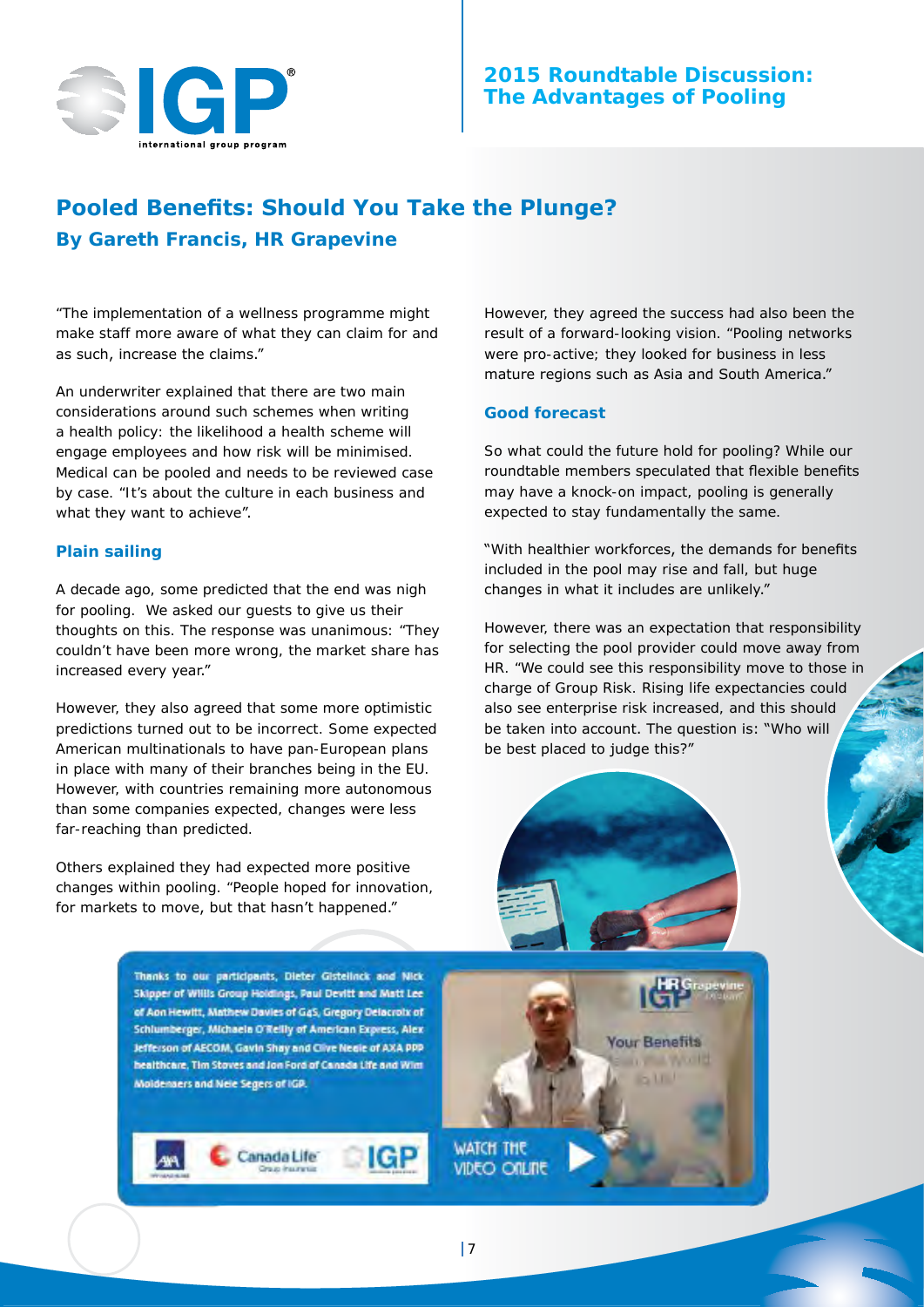

# **2015 Roundtable Discussion: The Advantages of Pooling**

# **Pooled Benefits: Should You Take the Plunge? By Gareth Francis,** *HR Grapevine*

"The implementation of a wellness programme might make staff more aware of what they can claim for and as such, increase the claims."

An underwriter explained that there are two main considerations around such schemes when writing a health policy: the likelihood a health scheme will engage employees and how risk will be minimised. Medical can be pooled and needs to be reviewed case by case. "It's about the culture in each business and what they want to achieve".

#### **Plain sailing**

A decade ago, some predicted that the end was nigh for pooling. We asked our guests to give us their thoughts on this. The response was unanimous: "They couldn't have been more wrong, the market share has increased every year."

However, they also agreed that some more optimistic predictions turned out to be incorrect. Some expected American multinationals to have pan-European plans in place with many of their branches being in the EU. However, with countries remaining more autonomous than some companies expected, changes were less far-reaching than predicted.

Others explained they had expected more positive changes within pooling. "People hoped for innovation, for markets to move, but that hasn't happened."

> Thanks to our participants, Dieter Gistellnck and Nick Skipper of Willis Group Holdings, Paul Devitt and Matt Lee of Aon Hewitt, Mathew Davies of G4S, Gregory Delacroix of Schlumberger, Michaela O'Rellly of American Express, Alex Jefferson of AECOM, Gavin Shay and Clive Negle of AXA PPP healthcare, Tim Stoves and Jon Ford of Canada Life and Wint Moldensers and Nele Segers of IGP.

> > Canada Life

However, they agreed the success had also been the result of a forward-looking vision. "Pooling networks were pro-active; they looked for business in less mature regions such as Asia and South America."

#### **Good forecast**

So what could the future hold for pooling? While our roundtable members speculated that flexible benefits may have a knock-on impact, pooling is generally expected to stay fundamentally the same.

"With healthier workforces, the demands for benefits included in the pool may rise and fall, but huge changes in what it includes are unlikely."

However, there was an expectation that responsibility for selecting the pool provider could move away from HR. "We could see this responsibility move to those in charge of Group Risk. Rising life expectancies could also see enterprise risk increased, and this should be taken into account. The question is: "Who will be best placed to judge this?"



**Your Benefits** 

**611** 

**D. WALWORLD** 

**WATCH THE** VIDEO ONLINE

IGP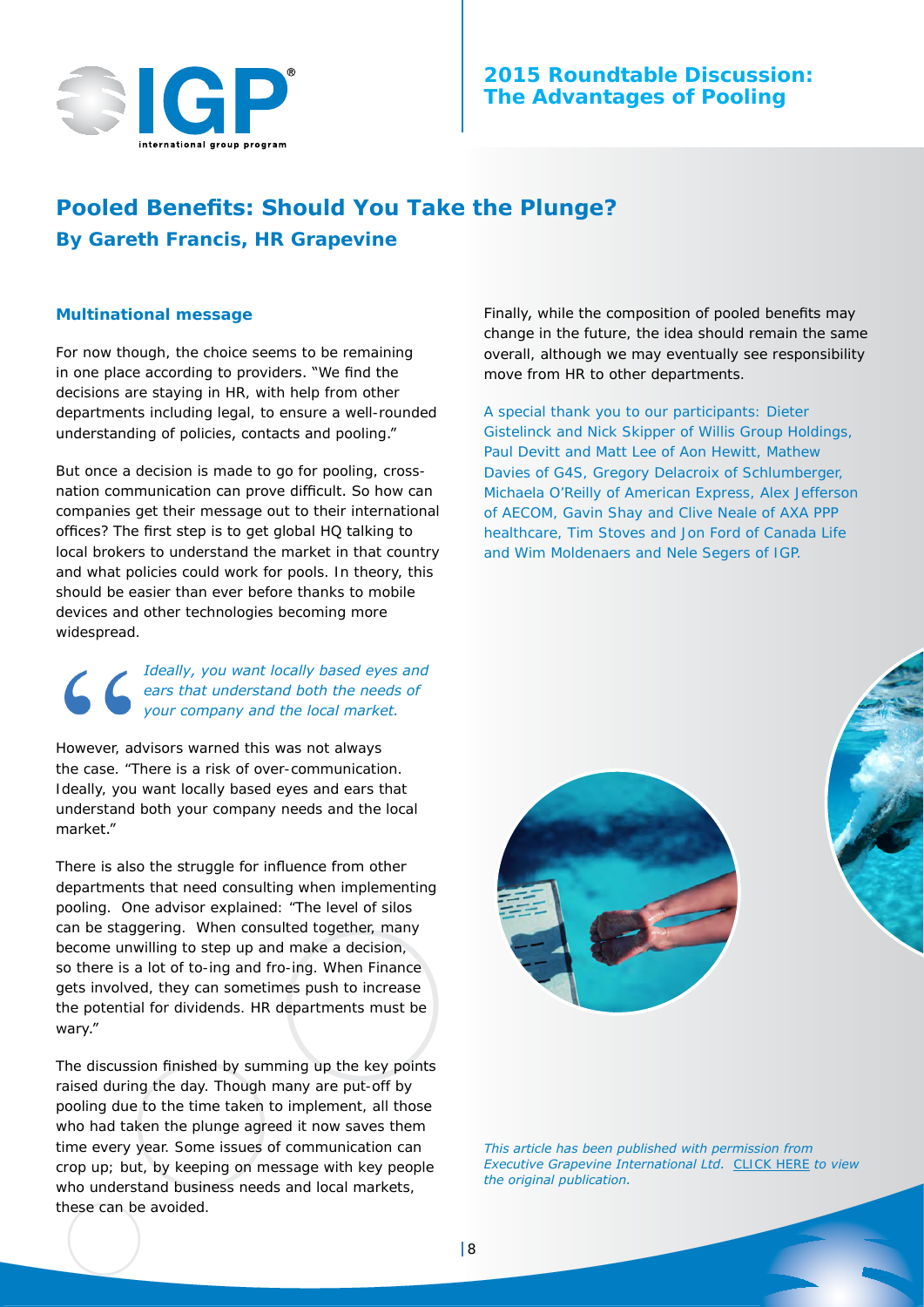

# **2015 Roundtable Discussion: The Advantages of Pooling**

# **Pooled Benefits: Should You Take the Plunge? By Gareth Francis,** *HR Grapevine*

#### **Multinational message**

For now though, the choice seems to be remaining in one place according to providers. "We find the decisions are staying in HR, with help from other departments including legal, to ensure a well-rounded understanding of policies, contacts and pooling."

But once a decision is made to go for pooling, crossnation communication can prove difficult. So how can companies get their message out to their international offices? The first step is to get global HQ talking to local brokers to understand the market in that country and what policies could work for pools. In theory, this should be easier than ever before thanks to mobile devices and other technologies becoming more widespread.

*Ideally, you want locally based eyes and ears that understand both the needs of your company and the local market.*

However, advisors warned this was not always the case. "There is a risk of over-communication. Ideally, you want locally based eyes and ears that understand both your company needs and the local market." 

There is also the struggle for influence from other departments that need consulting when implementing pooling. One advisor explained: "The level of silos can be staggering. When consulted together, many become unwilling to step up and make a decision, so there is a lot of to-ing and fro-ing. When Finance gets involved, they can sometimes push to increase the potential for dividends. HR departments must be wary." 

The discussion finished by summing up the key points raised during the day. Though many are put-off by pooling due to the time taken to implement, all those who had taken the plunge agreed it now saves them time every year. Some issues of communication can crop up; but, by keeping on message with key people who understand business needs and local markets, these can be avoided.

Finally, while the composition of pooled benefits may change in the future, the idea should remain the same overall, although we may eventually see responsibility move from HR to other departments.

A special thank you to our participants: Dieter Gistelinck and Nick Skipper of Willis Group Holdings, Paul Devitt and Matt Lee of Aon Hewitt, Mathew Davies of G4S, Gregory Delacroix of Schlumberger, Michaela O'Reilly of American Express, Alex Jefferson of AECOM, Gavin Shay and Clive Neale of AXA PPP healthcare, Tim Stoves and Jon Ford of Canada Life and Wim Moldenaers and Nele Segers of IGP.



*This article has been published with permission from Executive Grapevine International Ltd.* [CLICK HERE](http://edition.pagesuite-professional.co.uk//launch.aspx?eid=90f6bd88-d054-4d92-95b9-418e07ca12c1&pnum=32 ) *to view the original publication.*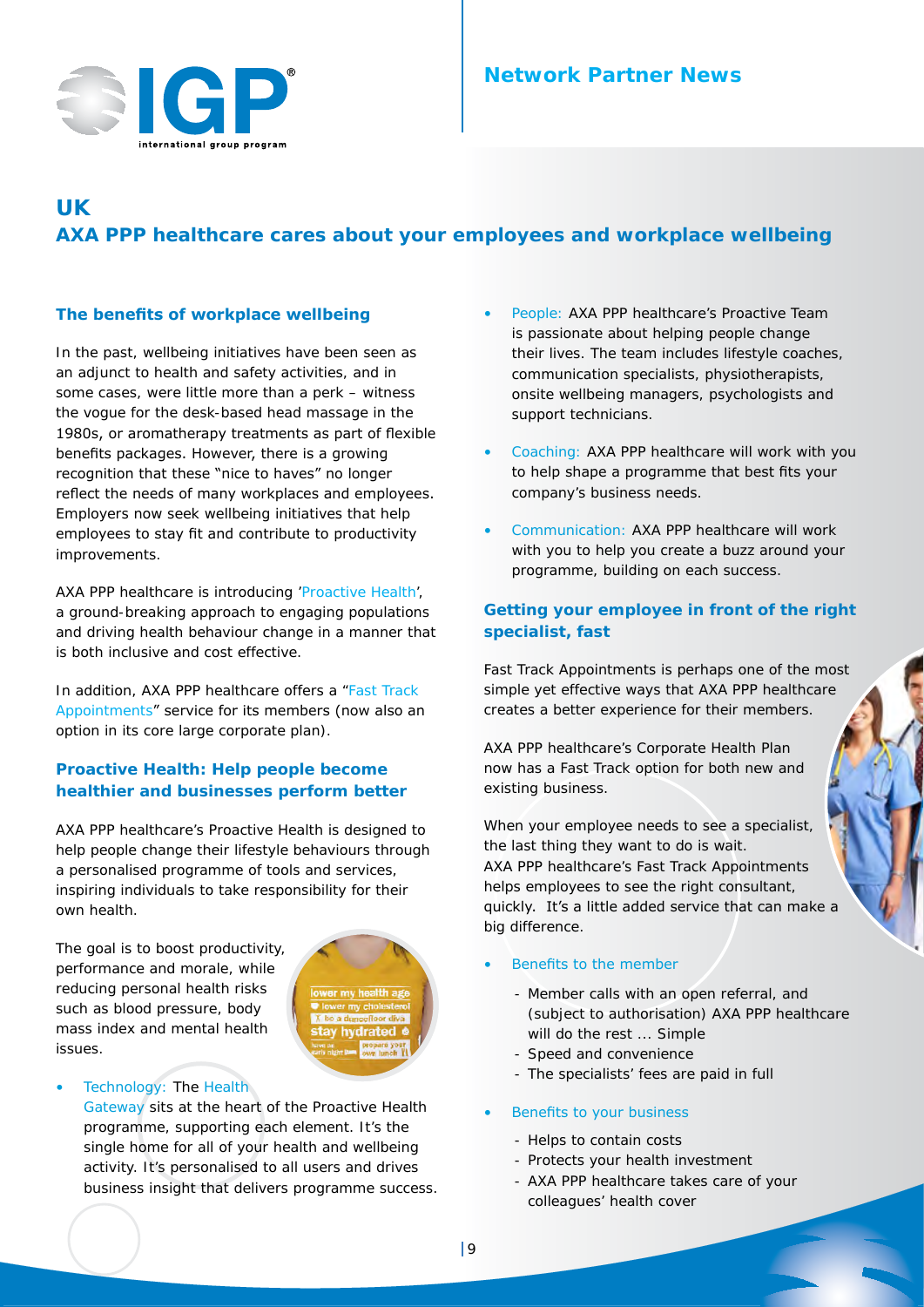

# **UK AXA PPP healthcare cares about your employees and workplace wellbeing**

## **The benefits of workplace wellbeing**

In the past, wellbeing initiatives have been seen as an adjunct to health and safety activities, and in some cases, were little more than a perk – witness the vogue for the desk-based head massage in the 1980s, or aromatherapy treatments as part of flexible benefits packages. However, there is a growing recognition that these "nice to haves" no longer reflect the needs of many workplaces and employees. Employers now seek wellbeing initiatives that help employees to stay fit and contribute to productivity improvements.

AXA PPP healthcare is introducing 'Proactive Health', a ground-breaking approach to engaging populations and driving health behaviour change in a manner that is both inclusive and cost effective.

In addition, AXA PPP healthcare offers a "Fast Track Appointments" service for its members (now also an option in its core large corporate plan).

## **Proactive Health: Help people become healthier and businesses perform better**

AXA PPP healthcare's Proactive Health is designed to help people change their lifestyle behaviours through a personalised programme of tools and services, inspiring individuals to take responsibility for their own health.

The goal is to boost productivity, performance and morale, while reducing personal health risks such as blood pressure, body mass index and mental health issues.



#### Technology: The Health

[Gateway](https://www.axappphealthcare.co.uk/health-services/the-gateway/) sits at the heart of the Proactive Health programme, supporting each element. It's the single home for all of your health and wellbeing activity. It's personalised to all users and drives business insight that delivers programme success.

- People: AXA PPP healthcare's Proactive Team is passionate about helping people change their lives. The team includes lifestyle coaches, communication specialists, physiotherapists, onsite wellbeing managers, psychologists and support technicians.
- Coaching: AXA PPP healthcare will work with you to help shape a programme that best fits your company's business needs.
- Communication: AXA PPP healthcare will work with you to help you create a buzz around your programme, building on each success.

## **Getting your employee in front of the right specialist, fast**

Fast Track Appointments is perhaps one of the most simple yet effective ways that AXA PPP healthcare creates a better experience for their members.

AXA PPP healthcare's Corporate Health Plan now has a Fast Track option for both new and existing business.

When your employee needs to see a specialist, the last thing they want to do is wait. AXA PPP healthcare's Fast Track Appointments helps employees to see the right consultant, quickly. It's a little added service that can make a big difference.

#### Benefits to the member

- Member calls with an open referral, and (subject to authorisation) AXA PPP healthcare will do the rest ... Simple
- Speed and convenience
- The specialists' fees are paid in full

#### Benefits to your business

- Helps to contain costs
- Protects your health investment
- AXA PPP healthcare takes care of your colleagues' health cover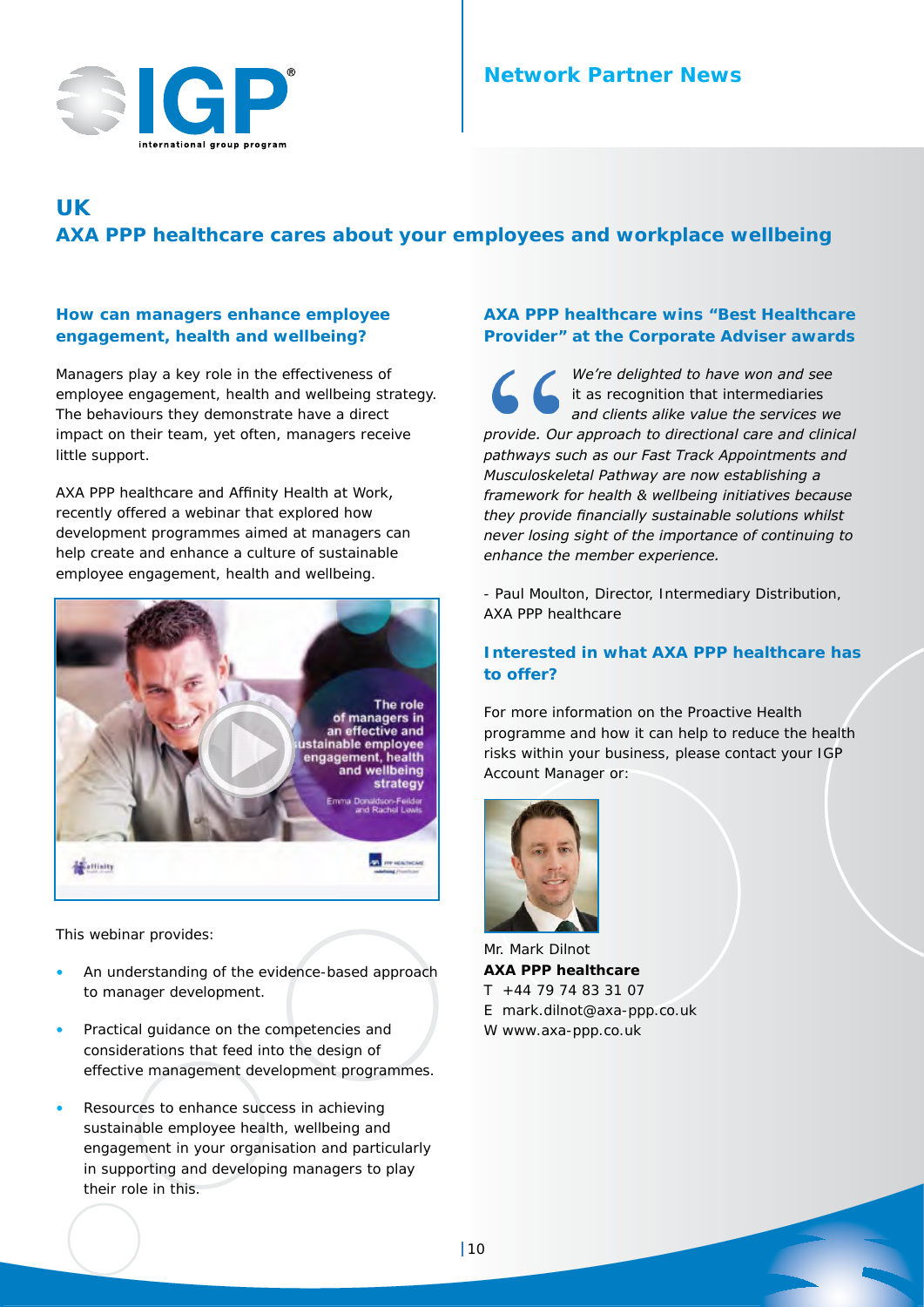

# **UK AXA PPP healthcare cares about your employees and workplace wellbeing**

## **How can managers enhance employee engagement, health and wellbeing?**

Managers play a key role in the effectiveness of employee engagement, health and wellbeing strategy. The behaviours they demonstrate have a direct impact on their team, yet often, managers receive little support.

AXA PPP healthcare and Affinity Health at Work, recently offered a webinar that explored how development programmes aimed at managers can help create and enhance a culture of sustainable employee engagement, health and wellbeing.



This webinar provides:

- An understanding of the evidence-based approach to manager development.
- Practical guidance on the competencies and considerations that feed into the design of effective management development programmes.
- Resources to enhance success in achieving sustainable employee health, wellbeing and engagement in your organisation and particularly in supporting and developing managers to play their role in this.

## **AXA PPP healthcare wins "Best Healthcare Provider" at the Corporate Adviser awards**

*We're delighted to have won and see it as recognition that intermediaries and clients alike value the services we provide. Our approach to directional care and clinical pathways such as our Fast Track Appointments and Musculoskeletal Pathway are now establishing a framework for health & wellbeing initiatives because they provide financially sustainable solutions whilst never losing sight of the importance of continuing to enhance the member experience.*

- Paul Moulton, Director, Intermediary Distribution, AXA PPP healthcare

#### **Interested in what AXA PPP healthcare has to offer?**

For more information on the Proactive Health programme and how it can help to reduce the health risks within your business, please contact your IGP Account Manager or:



Mr. Mark Dilnot **AXA PPP healthcare** T +44 79 74 83 31 07 E mark.dilnot@axa-ppp.co.uk W www.axa-ppp.co.uk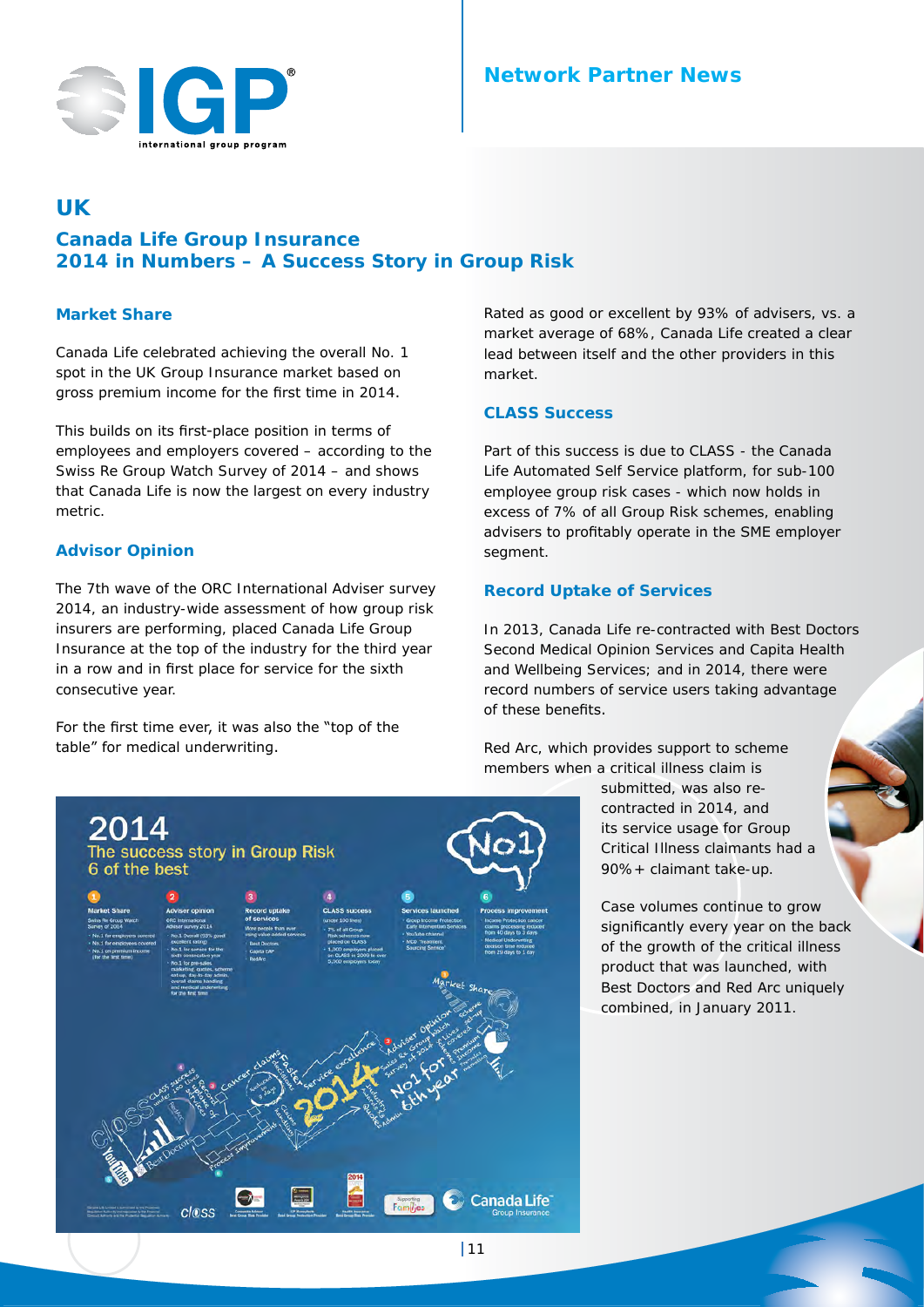

# **UK**

# **Canada Life Group Insurance 2014 in Numbers – A Success Story in Group Risk**

#### **Market Share**

Canada Life celebrated achieving the overall No. 1 spot in the UK Group Insurance market based on gross premium income for the first time in 2014.

This builds on its first-place position in terms of employees and employers covered – according to the Swiss Re Group Watch Survey of 2014 – and shows that Canada Life is now the largest on every industry metric.

## **Advisor Opinion**

The 7th wave of the ORC International Adviser survey 2014, an industry-wide assessment of how group risk insurers are performing, placed Canada Life Group Insurance at the top of the industry for the third year in a row and in first place for service for the sixth consecutive year.

For the first time ever, it was also the "top of the table" for medical underwriting.

Rated as good or excellent by 93% of advisers, vs. a market average of 68%, Canada Life created a clear lead between itself and the other providers in this market.

## **CLASS Success**

Part of this success is due to CLASS - the Canada Life Automated Self Service platform, for sub-100 employee group risk cases - which now holds in excess of 7% of all Group Risk schemes, enabling advisers to profitably operate in the SME employer segment.

# **Record Uptake of Services**

In 2013, Canada Life re-contracted with Best Doctors Second Medical Opinion Services and Capita Health and Wellbeing Services; and in 2014, there were record numbers of service users taking advantage of these benefits.

Red Arc, which provides support to scheme members when a critical illness claim is

submitted, was also recontracted in 2014, and its service usage for Group Critical Illness claimants had a 90%+ claimant take-up.

Case volumes continue to grow significantly every year on the back of the growth of the critical illness product that was launched, with Best Doctors and Red Arc uniquely combined, in January 2011.

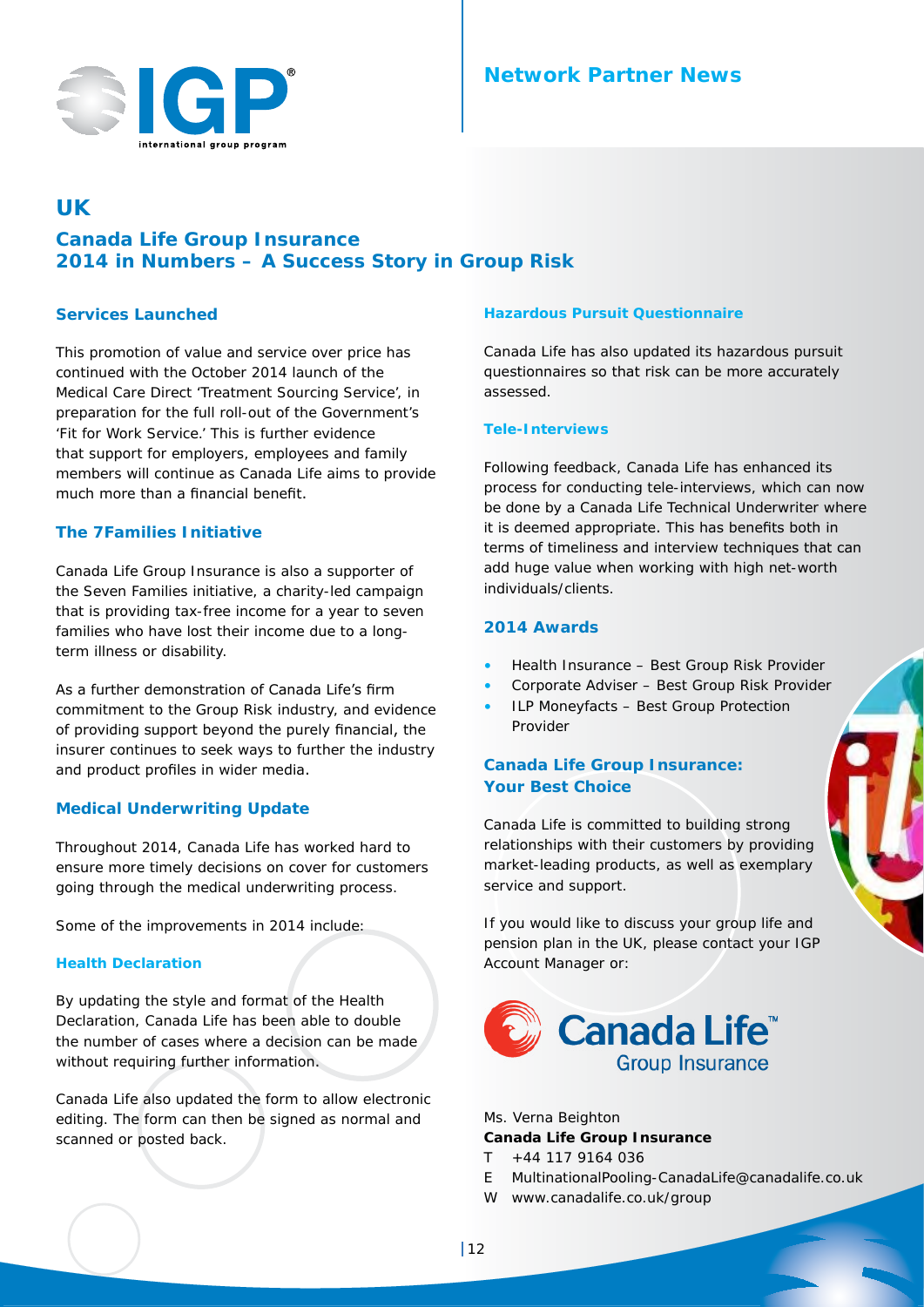

# **UK**

# **Canada Life Group Insurance 2014 in Numbers – A Success Story in Group Risk**

#### **Services Launched**

This promotion of value and service over price has continued with the October 2014 launch of the Medical Care Direct 'Treatment Sourcing Service', in preparation for the full roll-out of the Government's 'Fit for Work Service.' This is further evidence that support for employers, employees and family members will continue as Canada Life aims to provide much more than a financial benefit.

## **The 7Families Initiative**

Canada Life Group Insurance is also a supporter of the Seven Families initiative, a charity-led campaign that is providing tax-free income for a year to seven families who have lost their income due to a longterm illness or disability.

As a further demonstration of Canada Life's firm commitment to the Group Risk industry, and evidence of providing support beyond the purely financial, the insurer continues to seek ways to further the industry and product profiles in wider media.

## **Medical Underwriting Update**

Throughout 2014, Canada Life has worked hard to ensure more timely decisions on cover for customers going through the medical underwriting process.

Some of the improvements in 2014 include:

#### **Health Declaration**

By updating the style and format of the Health Declaration, Canada Life has been able to double the number of cases where a decision can be made without requiring further information.

Canada Life also updated the form to allow electronic editing. The form can then be signed as normal and scanned or posted back.

#### **Hazardous Pursuit Questionnaire**

Canada Life has also updated its hazardous pursuit questionnaires so that risk can be more accurately assessed.

#### **Tele-Interviews**

Following feedback, Canada Life has enhanced its process for conducting tele-interviews, which can now be done by a Canada Life Technical Underwriter where it is deemed appropriate. This has benefits both in terms of timeliness and interview techniques that can add huge value when working with high net-worth individuals/clients.

#### **2014 Awards**

- Health Insurance Best Group Risk Provider
- Corporate Adviser Best Group Risk Provider
- **ILP Moneyfacts Best Group Protection** Provider

## **Canada Life Group Insurance: Your Best Choice**

Canada Life is committed to building strong relationships with their customers by providing market-leading products, as well as exemplary service and support.

If you would like to discuss your group life and pension plan in the UK, please contact your IGP Account Manager or:



Ms. Verna Beighton

#### **Canada Life Group Insurance**

- T +44 117 9164 036
- E MultinationalPooling-CanadaLife@canadalife.co.uk
- W www.canadalife.co.uk/group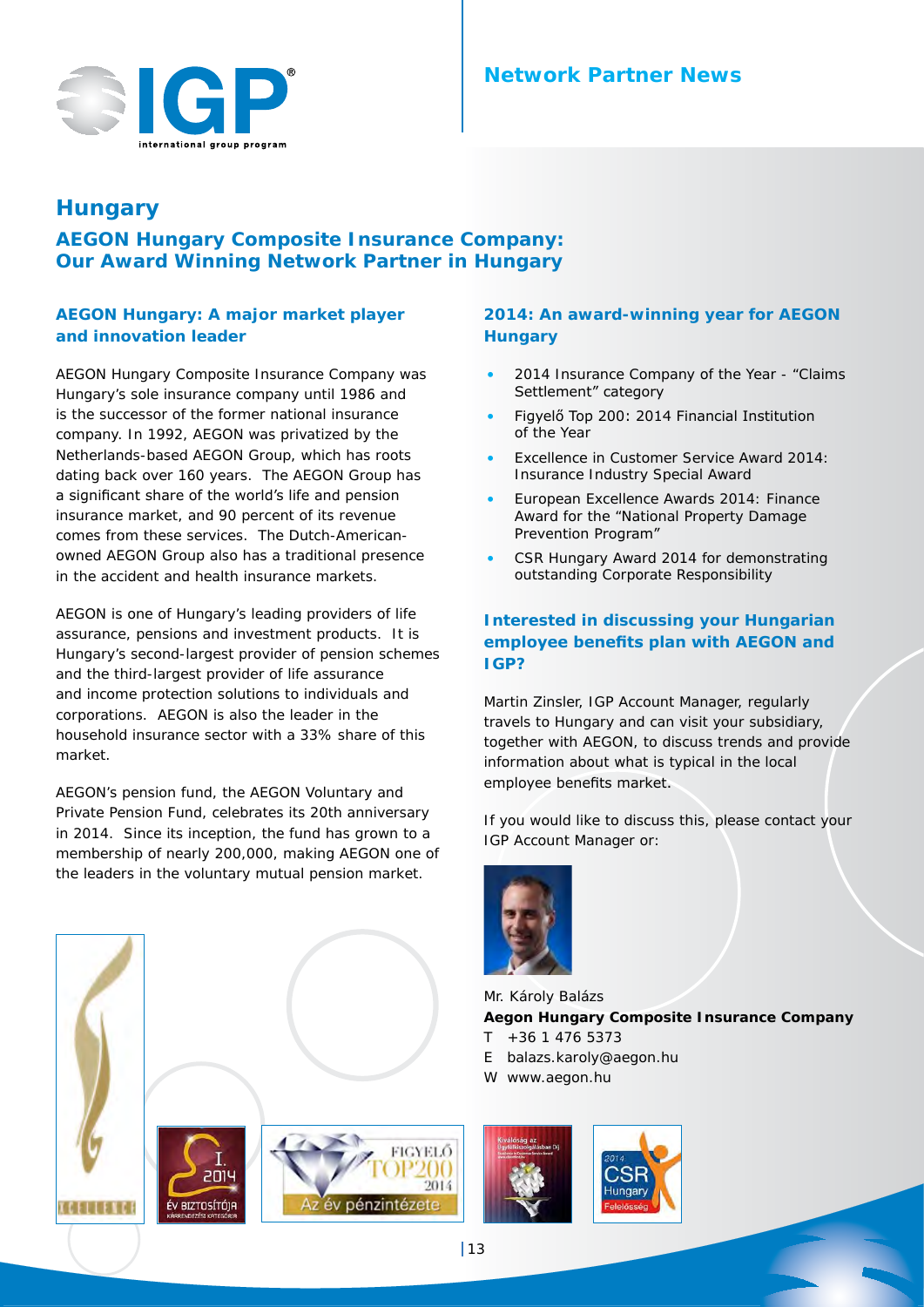# **Network Partner News**



# **Hungary**

**AEGON Hungary Composite Insurance Company: Our Award Winning Network Partner in Hungary**

## **AEGON Hungary: A major market player and innovation leader**

AEGON Hungary Composite Insurance Company was Hungary's sole insurance company until 1986 and is the successor of the former national insurance company. In 1992, AEGON was privatized by the Netherlands-based AEGON Group, which has roots dating back over 160 years. The AEGON Group has a significant share of the world's life and pension insurance market, and 90 percent of its revenue comes from these services. The Dutch-Americanowned AEGON Group also has a traditional presence in the accident and health insurance markets.

AEGON is one of Hungary's leading providers of life assurance, pensions and investment products. It is Hungary's second-largest provider of pension schemes and the third-largest provider of life assurance and income protection solutions to individuals and corporations. AEGON is also the leader in the household insurance sector with a 33% share of this market.

AEGON's pension fund, the AEGON Voluntary and Private Pension Fund, celebrates its 20th anniversary in 2014. Since its inception, the fund has grown to a membership of nearly 200,000, making AEGON one of the leaders in the voluntary mutual pension market.



## **2014: An award-winning year for AEGON Hungary**

- 2014 Insurance Company of the Year "Claims Settlement" category
- Figyelő Top 200: 2014 Financial Institution of the Year
- Excellence in Customer Service Award 2014: Insurance Industry Special Award
- European Excellence Awards 2014: Finance Award for the "National Property Damage Prevention Program"
- CSR Hungary Award 2014 for demonstrating outstanding Corporate Responsibility

## **Interested in discussing your Hungarian employee benefits plan with AEGON and IGP?**

Martin Zinsler, IGP Account Manager, regularly travels to Hungary and can visit your subsidiary, together with AEGON, to discuss trends and provide information about what is typical in the local employee benefits market.

If you would like to discuss this, please contact your IGP Account Manager or:



Mr. Károly Balázs **Aegon Hungary Composite Insurance Company**  $T + 36 1 476 5373$ 

- E balazs.karoly@aegon.hu
- W www.aegon.hu

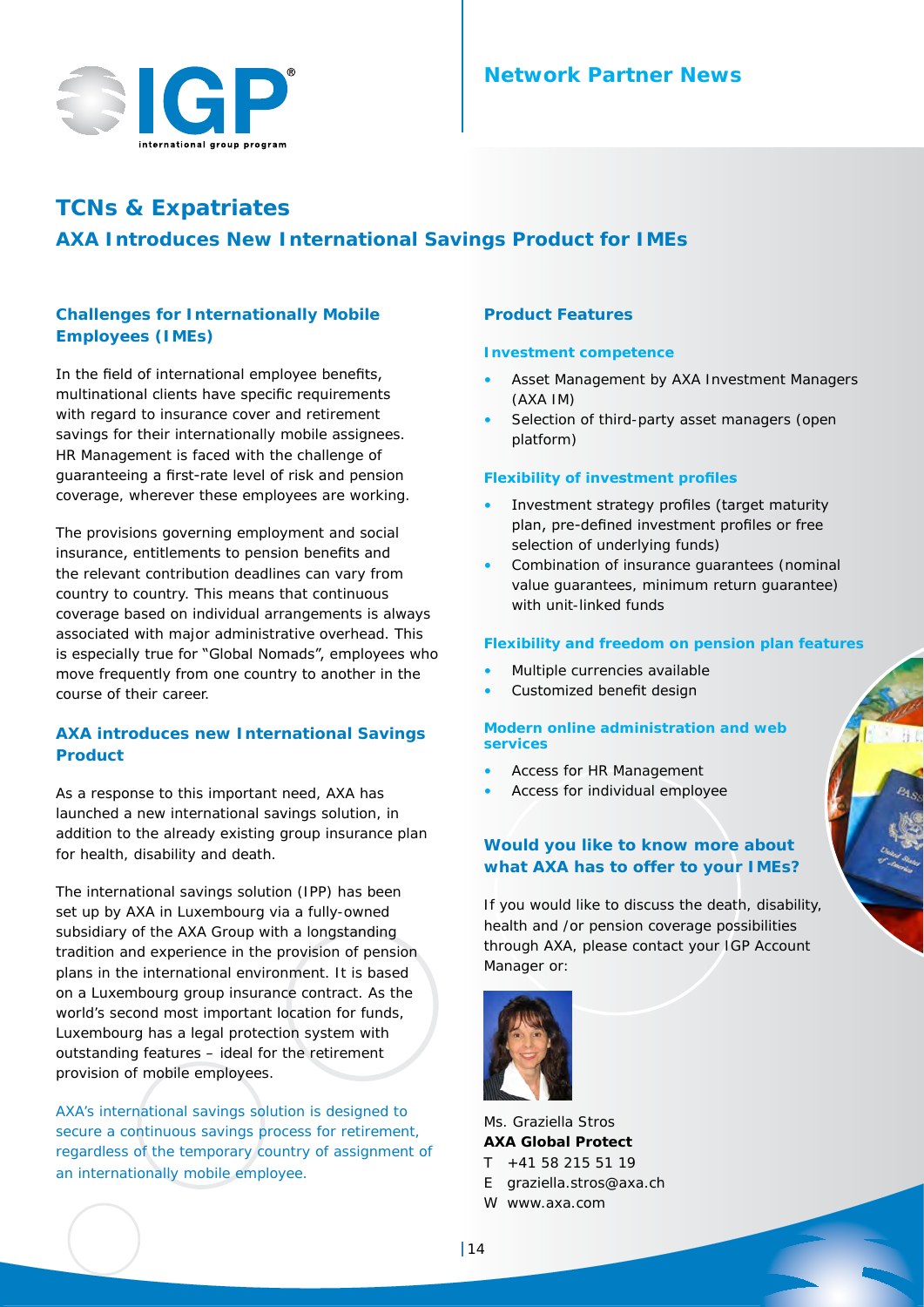

# **TCNs & Expatriates AXA Introduces New International Savings Product for IMEs**

# **Challenges for Internationally Mobile Employees (IMEs)**

In the field of international employee benefits, multinational clients have specific requirements with regard to insurance cover and retirement savings for their internationally mobile assignees. HR Management is faced with the challenge of guaranteeing a first-rate level of risk and pension coverage, wherever these employees are working.

The provisions governing employment and social insurance, entitlements to pension benefits and the relevant contribution deadlines can vary from country to country. This means that continuous coverage based on individual arrangements is always associated with major administrative overhead. This is especially true for "Global Nomads", employees who move frequently from one country to another in the course of their career.

## **AXA introduces new International Savings Product**

As a response to this important need, AXA has launched a new international savings solution, in addition to the already existing group insurance plan for health, disability and death.

The international savings solution (IPP) has been set up by AXA in Luxembourg via a fully-owned subsidiary of the AXA Group with a longstanding tradition and experience in the provision of pension plans in the international environment. It is based on a Luxembourg group insurance contract. As the world's second most important location for funds, Luxembourg has a legal protection system with outstanding features – ideal for the retirement provision of mobile employees.

AXA's international savings solution is designed to secure a continuous savings process for retirement, regardless of the temporary country of assignment of an internationally mobile employee.

#### **Product Features**

#### **Investment competence**

- Asset Management by AXA Investment Managers (AXA IM)
- Selection of third-party asset managers (open platform)

#### **Flexibility of investment profiles**

- Investment strategy profiles (target maturity plan, pre-defined investment profiles or free selection of underlying funds)
- Combination of insurance guarantees (nominal value guarantees, minimum return guarantee) with unit-linked funds

#### **Flexibility and freedom on pension plan features**

- Multiple currencies available
- Customized benefit design

#### **Modern online administration and web services**

- Access for HR Management
- Access for individual employee

## **Would you like to know more about what AXA has to offer to your IMEs?**

If you would like to discuss the death, disability, health and /or pension coverage possibilities through AXA, please contact your IGP Account Manager or:



Ms. Graziella Stros **AXA Global Protect**  T +41 58 215 51 19 E graziella.stros@axa.ch

W www.axa.com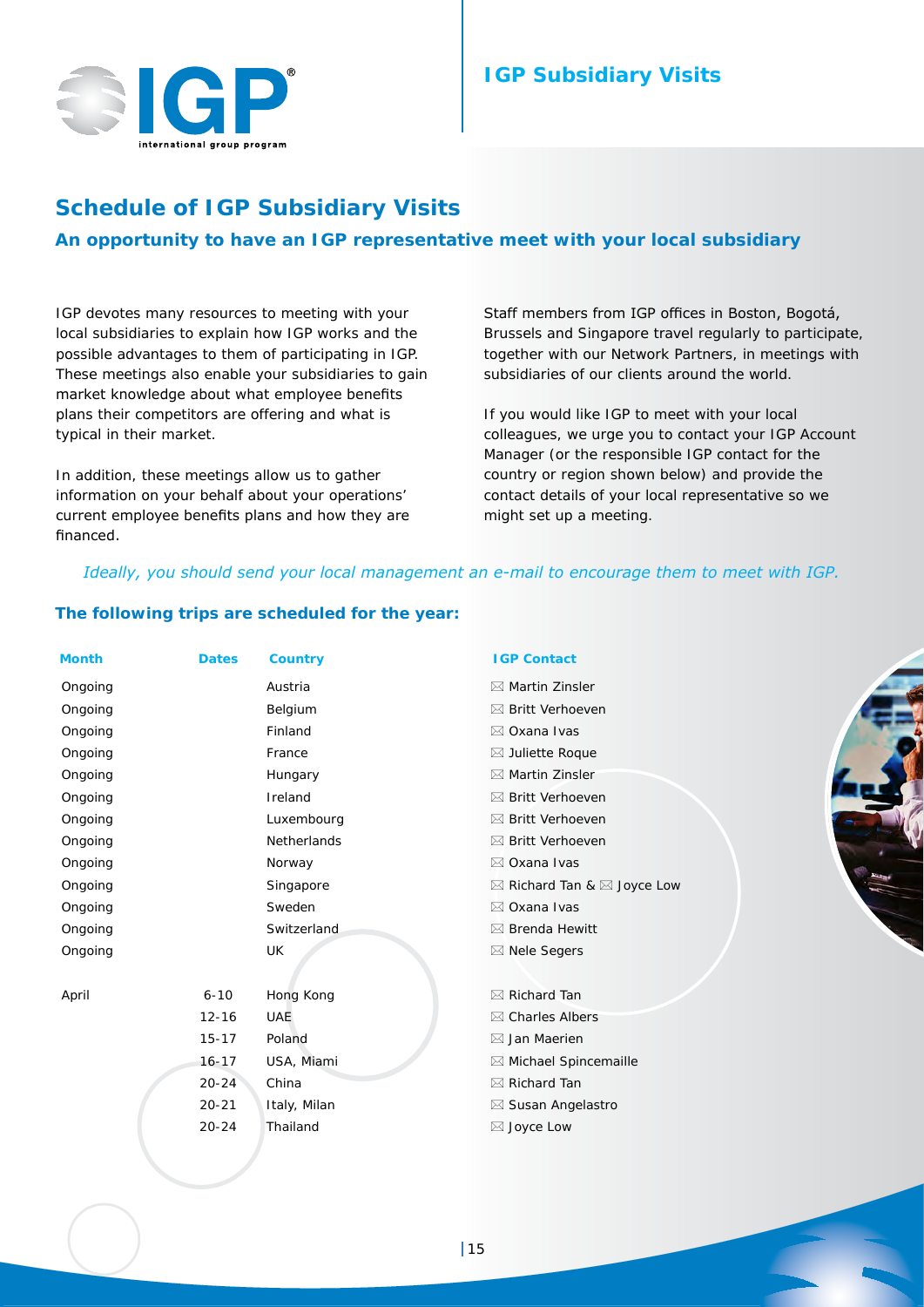

# **IGP Subsidiary Visits**

# **Schedule of IGP Subsidiary Visits**

# **An opportunity to have an IGP representative meet with your local subsidiary**

IGP devotes many resources to meeting with your local subsidiaries to explain how IGP works and the possible advantages to them of participating in IGP. These meetings also enable your subsidiaries to gain market knowledge about what employee benefits plans their competitors are offering and what is typical in their market.

In addition, these meetings allow us to gather information on your behalf about your operations' current employee benefits plans and how they are financed.

Staff members from IGP offices in Boston, Bogotá, Brussels and Singapore travel regularly to participate, together with our Network Partners, in meetings with subsidiaries of our clients around the world.

If you would like IGP to meet with your local colleagues, we urge you to contact your IGP Account Manager (or the responsible IGP contact for the country or region shown below) and provide the contact details of your local representative so we might set up a meeting.

#### *Ideally, you should send your local management an e-mail to encourage them to meet with IGP.*

#### **The following trips are scheduled for the year:**

| <b>Month</b> | <b>Dates</b> | <b>Country</b> | <b>IGP Contact</b>                              |
|--------------|--------------|----------------|-------------------------------------------------|
| Ongoing      |              | Austria        | $\boxtimes$ Martin Zinsler                      |
| Ongoing      |              | Belgium        | ⊠ Britt Verhoeven                               |
| Ongoing      |              | Finland        | ⊠ Oxana Ivas                                    |
| Ongoing      |              | France         | $\boxtimes$ Juliette Roque                      |
| Ongoing      |              | Hungary        | ⊠ Martin Zinsler                                |
| Ongoing      |              | Ireland        | ⊠ Britt Verhoeven                               |
| Ongoing      |              | Luxembourg     | ⊠ Britt Verhoeven                               |
| Ongoing      |              | Netherlands    | ⊠ Britt Verhoeven                               |
| Ongoing      |              | Norway         | ⊠ Oxana Ivas                                    |
| Ongoing      |              | Singapore      | $\boxtimes$ Richard Tan & $\boxtimes$ Joyce Low |
| Ongoing      |              | Sweden         | ⊠ Oxana Ivas                                    |
| Ongoing      |              | Switzerland    | $\boxtimes$ Brenda Hewitt                       |
| Ongoing      |              | UK             | ⊠ Nele Segers                                   |
| April        | $6 - 10$     | Hong Kong      | ⊠ Richard Tan                                   |
|              | $12 - 16$    | <b>UAE</b>     | $\boxtimes$ Charles Albers                      |
|              | $15 - 17$    | Poland         | $\boxtimes$ Jan Maerien                         |
|              | $16 - 17$    | USA, Miami     | ⊠ Michael Spincemaille                          |
|              | $20 - 24$    | China          | $\boxtimes$ Richard Tan                         |
|              | $20 - 21$    | Italy, Milan   | ⊠ Susan Angelastro                              |
|              | $20 - 24$    | Thailand       | ⊠ Joyce Low                                     |
|              |              |                |                                                 |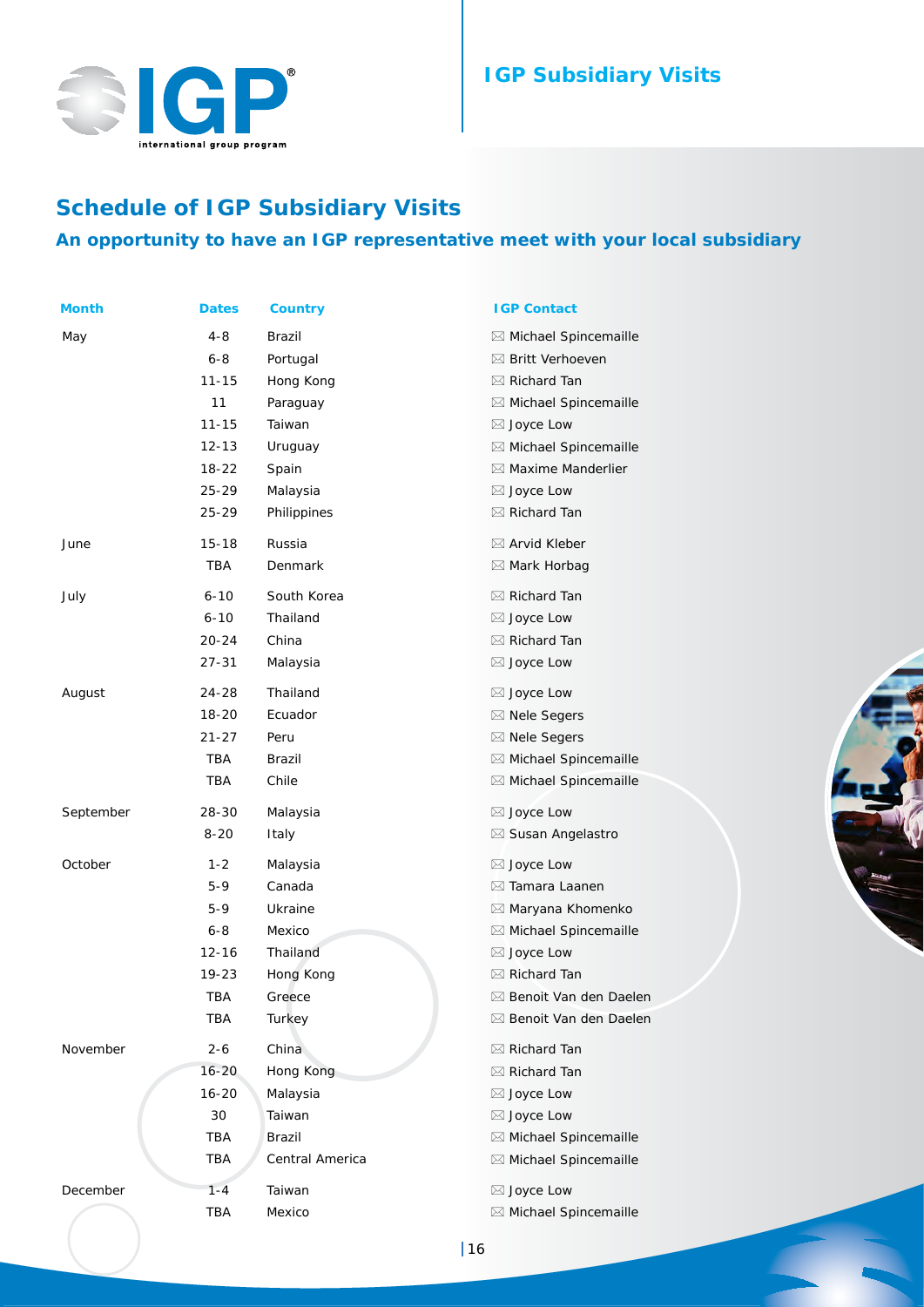

# **IGP Subsidiary Visits**

# **Schedule of IGP Subsidiary Visits An opportunity to have an IGP representative meet with your local subsidiary**

| Month     | <b>Dates</b> | <b>Country</b>  | <b>IGP Contact</b>                |
|-----------|--------------|-----------------|-----------------------------------|
| May       | $4 - 8$      | Brazil          | ⊠ Michael Spincemaille            |
|           | $6 - 8$      | Portugal        | ⊠ Britt Verhoeven                 |
|           | $11 - 15$    | Hong Kong       | $\boxtimes$ Richard Tan           |
|           | 11           | Paraguay        | ⊠ Michael Spincemaille            |
|           | $11 - 15$    | Taiwan          | $\boxtimes$ Joyce Low             |
|           | $12 - 13$    | Uruguay         | ⊠ Michael Spincemaille            |
|           | 18-22        | Spain           | $\boxtimes$ Maxime Manderlier     |
|           | 25-29        | Malaysia        | $\boxtimes$ Joyce Low             |
|           | $25 - 29$    | Philippines     | $\boxtimes$ Richard Tan           |
| June      | $15 - 18$    | Russia          | ⊠ Arvid Kleber                    |
|           | TBA          | Denmark         | $\boxtimes$ Mark Horbag           |
| July      | $6 - 10$     | South Korea     | $\boxtimes$ Richard Tan           |
|           | $6 - 10$     | Thailand        | ⊠ Joyce Low                       |
|           | $20 - 24$    | China           | ⊠ Richard Tan                     |
|           | 27-31        | Malaysia        | ⊠ Joyce Low                       |
| August    | 24-28        | Thailand        | $\boxtimes$ Joyce Low             |
|           | 18-20        | Ecuador         | $\boxtimes$ Nele Segers           |
|           | $21 - 27$    | Peru            | ⊠ Nele Segers                     |
|           | TBA          | Brazil          | ⊠ Michael Spincemaille            |
|           | TBA          | Chile           | ⊠ Michael Spincemaille            |
| September | 28-30        | Malaysia        | ⊠ Joyce Low                       |
|           | $8 - 20$     | Italy           | ⊠ Susan Angelastro                |
| October   | $1 - 2$      | Malaysia        | $\boxtimes$ Joyce Low             |
|           | $5 - 9$      | Canada          | $\boxtimes$ Tamara Laanen         |
|           | $5-9$        | Ukraine         | ⊠ Maryana Khomenko                |
|           | $6 - 8$      | Mexico          | ⊠ Michael Spincemaille            |
|           | $12 - 16$    | Thailand        | ⊠ Joyce Low                       |
|           | 19-23        | Hong Kong       | ⊠ Richard Tan                     |
|           | TBA          | Greece          | $\boxtimes$ Benoit Van den Daelen |
|           | TBA          | Turkey          | ⊠ Benoit Van den Daelen           |
| November  | $2 - 6$      | China           | ⊠ Richard Tan                     |
|           | $16 - 20$    | Hong Kong       | $\boxtimes$ Richard Tan           |
|           | $16 - 20$    | Malaysia        | ⊠ Joyce Low                       |
|           | 30           | Taiwan          | ⊠ Joyce Low                       |
|           | <b>TBA</b>   | <b>Brazil</b>   | ⊠ Michael Spincemaille            |
|           | TBA          | Central America | ⊠ Michael Spincemaille            |
| December  | $1 - 4$      | Taiwan          | ⊠ Joyce Low                       |
|           | <b>TBA</b>   | Mexico          | ⊠ Michael Spincemaille            |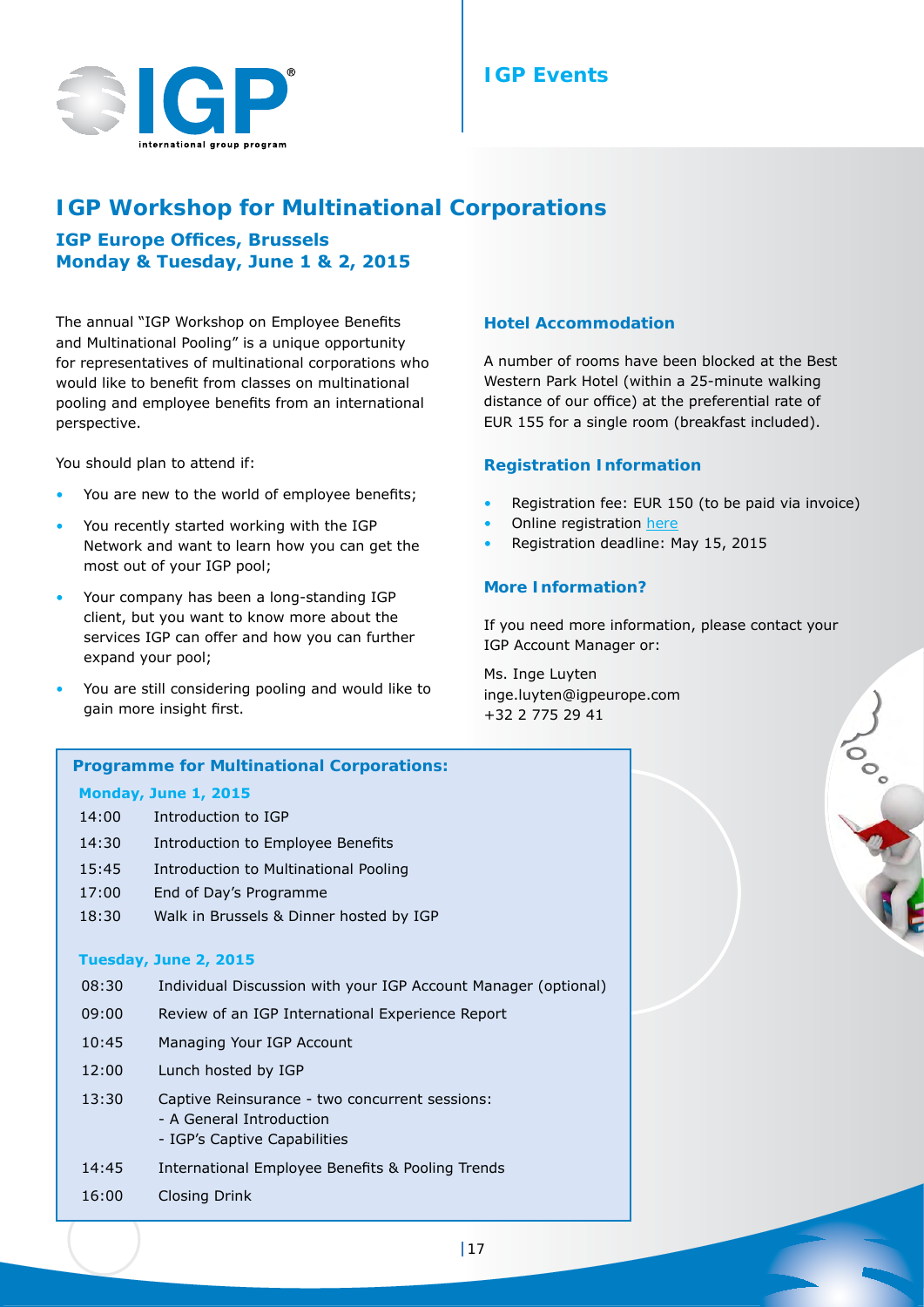# **IGP Events**



# **IGP Workshop for** *Multinational Corporations*

**IGP Europe Offices, Brussels Monday & Tuesday, June 1 & 2, 2015**

The annual "IGP Workshop on Employee Benefits and Multinational Pooling" is a unique opportunity for representatives of multinational corporations who would like to benefit from classes on multinational pooling and employee benefits from an international perspective.

You should plan to attend if:

- You are new to the world of employee benefits;
- You recently started working with the IGP Network and want to learn how you can get the most out of your IGP pool;
- Your company has been a long-standing IGP client, but you want to know more about the services IGP can offer and how you can further expand your pool;
- You are still considering pooling and would like to gain more insight first.

#### **Hotel Accommodation**

A number of rooms have been blocked at the Best Western Park [Hotel](http://www.eurostarsmontgomery.com/EN/hotel.html) (within a 25-minute walking distance of our office) at the preferential rate of EUR 155 for a single room (breakfast included).

#### **Registration Information**

- Registration fee: EUR 150 (to be paid via invoice)
- Online registration [here](https://www.jhsurveys.com/votingmodule/s180/survey/379915/1636/)
- Registration deadline: May 15, 2015

#### **More Information?**

If you need more information, please contact your IGP Account Manager or:

JOO SOL

Ms. Inge Luyten inge.luyten@igpeurope.com +32 2 775 29 41

# **Programme for Multinational Corporations: Monday, June 1, 2015** 14:00 Introduction to IGP 14:30 Introduction to Employee Benefits 15:45 Introduction to Multinational Pooling 17:00 End of Day's Programme 18:30 Walk in Brussels & Dinner hosted by IGP **Tuesday, June 2, 2015** 08:30 Individual Discussion with your IGP Account Manager (optional) 09:00 Review of an IGP International Experience Report 10:45 Managing Your IGP Account 12:00 Lunch hosted by IGP 13:30 Captive Reinsurance - two concurrent sessions: - A General Introduction - IGP's Captive Capabilities 14:45 International Employee Benefits & Pooling Trends 16:00 Closing Drink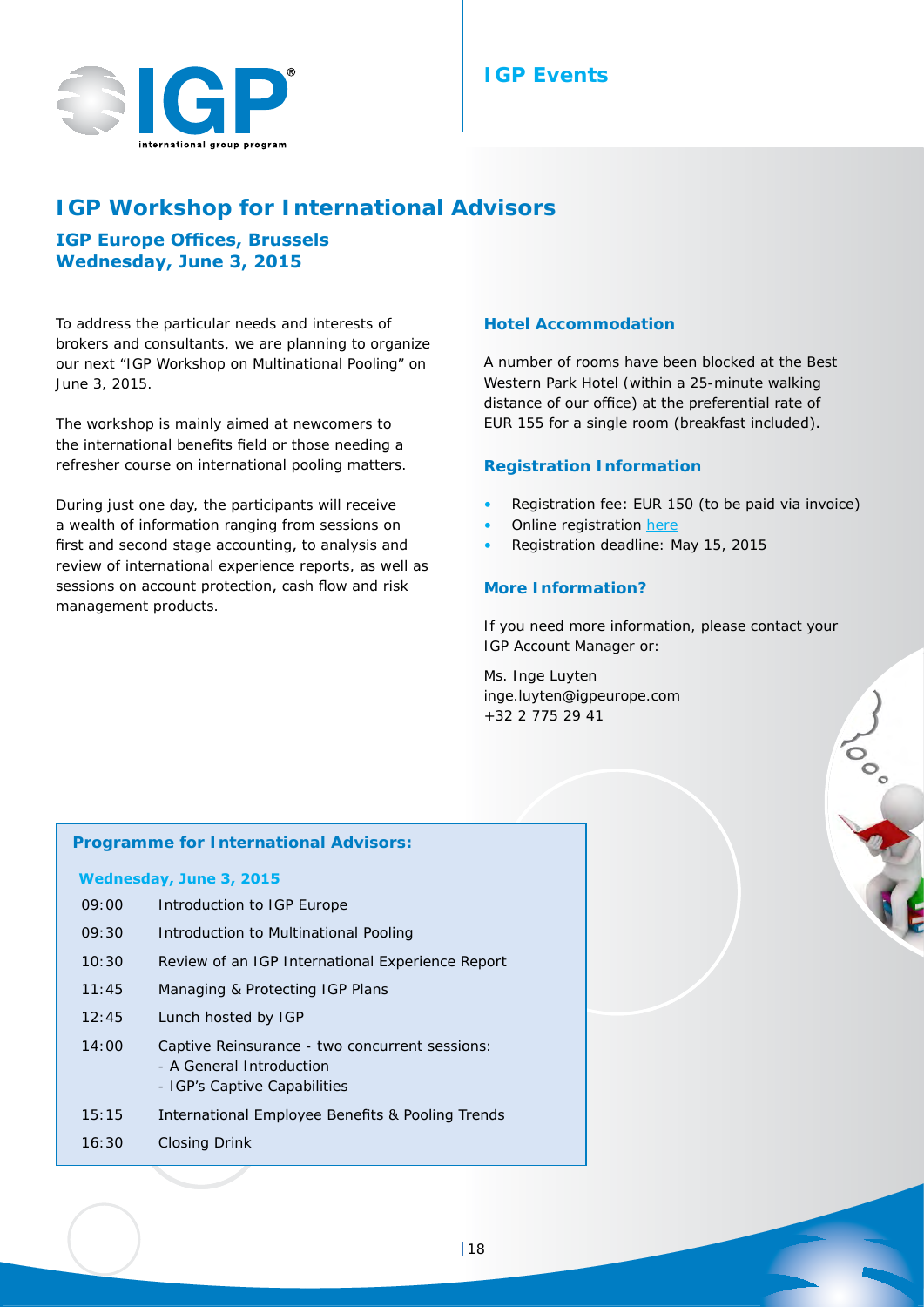



# **IGP Workshop for** *International Advisors*

# **IGP Europe Offices, Brussels Wednesday, June 3, 2015**

To address the particular needs and interests of brokers and consultants, we are planning to organize our next "IGP Workshop on Multinational Pooling" on June 3, 2015.

The workshop is mainly aimed at newcomers to the international benefits field or those needing a refresher course on international pooling matters.

During just one day, the participants will receive a wealth of information ranging from sessions on first and second stage accounting, to analysis and review of international experience reports, as well as sessions on account protection, cash flow and risk management products.

#### **Hotel Accommodation**

A number of rooms have been blocked at the Best Western Park [Hotel](http://www.eurostarsmontgomery.com/EN/hotel.html) (within a 25-minute walking distance of our office) at the preferential rate of EUR 155 for a single room (breakfast included).

#### **Registration Information**

- Registration fee: EUR 150 (to be paid via invoice)
- Online registration [here](https://www.jhsurveys.com/votingmodule/s180/f/379913/dd6d/)
- Registration deadline: May 15, 2015

#### **More Information?**

If you need more information, please contact your IGP Account Manager or:

Joo Sea

Ms. Inge Luyten inge.luyten@igpeurope.com +32 2 775 29 41

#### **Programme for International Advisors:**

#### **Wednesday, June 3, 2015**

09:00 Introduction to IGP Europe 09:30 Introduction to Multinational Pooling 10:30 Review of an IGP International Experience Report 11:45 Managing & Protecting IGP Plans 12:45 Lunch hosted by IGP 14:00 Captive Reinsurance - two concurrent sessions: - A General Introduction - IGP's Captive Capabilities 15:15 International Employee Benefits & Pooling Trends 16:30 Closing Drink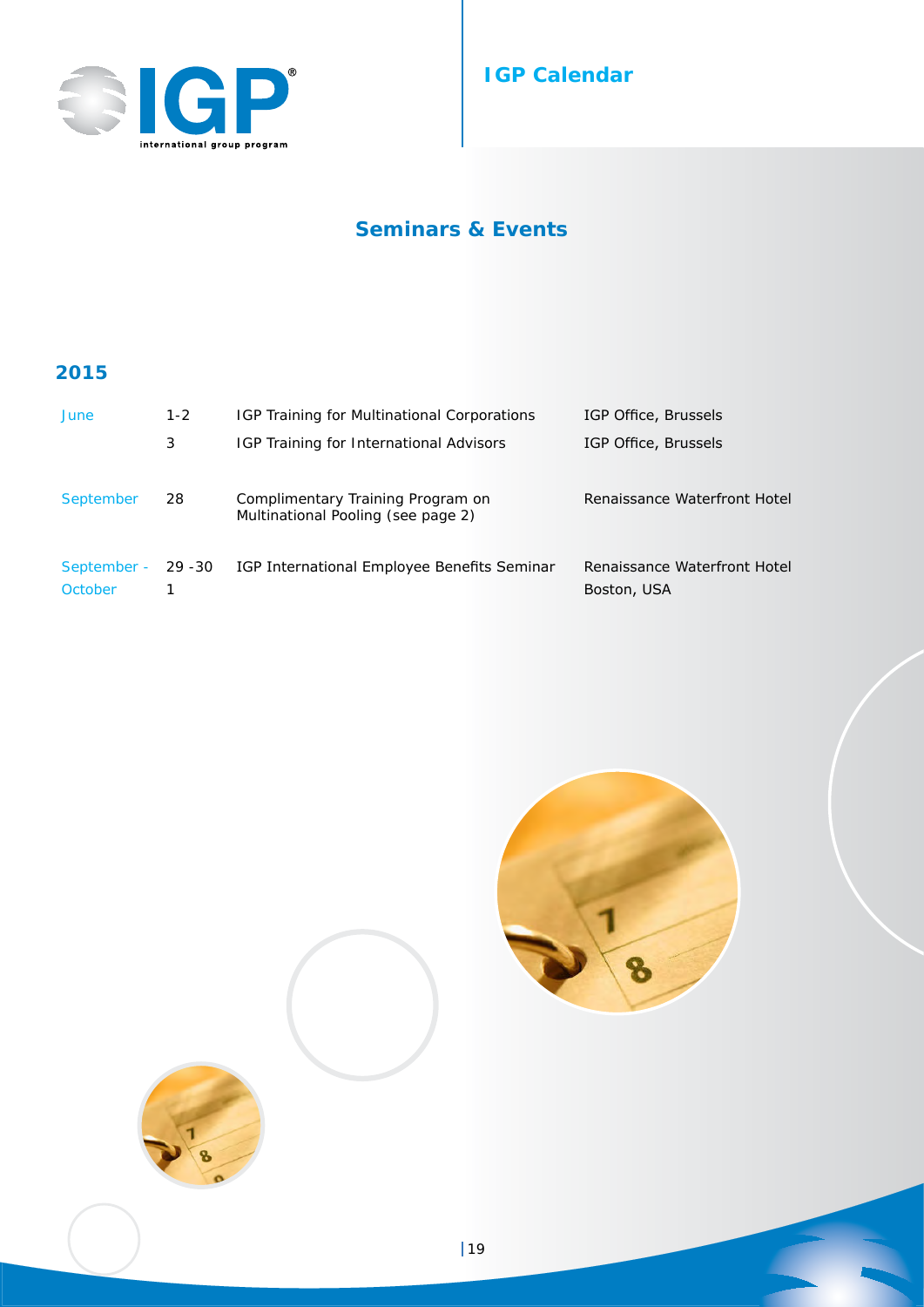

# **IGP Calendar**

# **Seminars & Events**

# **2015**

| June                   | $1 - 2$ | IGP Training for Multinational Corporations                             | IGP Office, Brussels                        |
|------------------------|---------|-------------------------------------------------------------------------|---------------------------------------------|
|                        | 3       | <b>IGP Training for International Advisors</b>                          | IGP Office, Brussels                        |
| September              | 28      | Complimentary Training Program on<br>Multinational Pooling (see page 2) | Renaissance Waterfront Hotel                |
| September -<br>October | 29 - 30 | IGP International Employee Benefits Seminar                             | Renaissance Waterfront Hotel<br>Boston, USA |



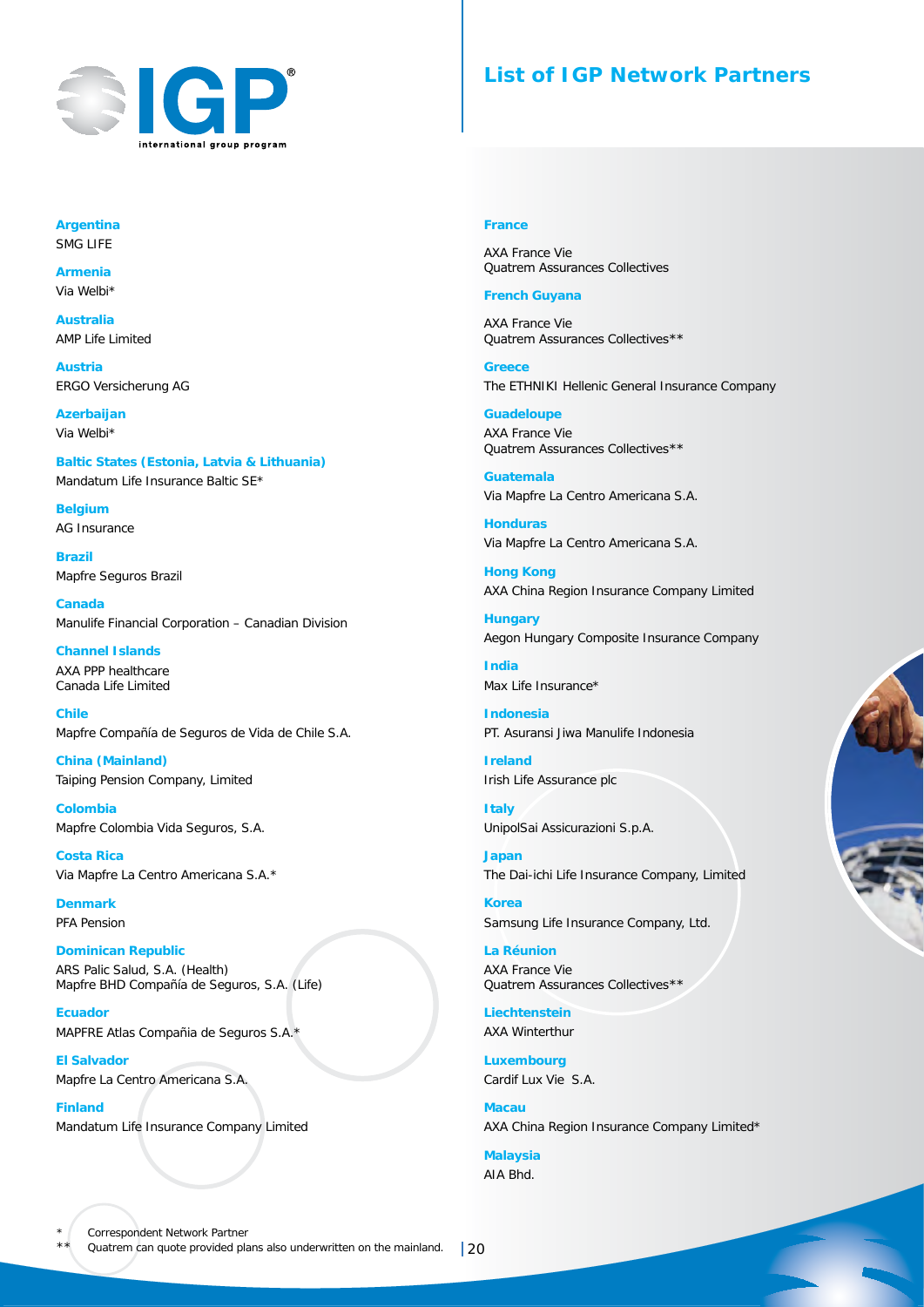

# **List of IGP Network Partners**

#### **Argentina** SMG LIFE

**Armenia** Via Welbi\*

**Australia** AMP Life Limited

**Austria** ERGO Versicherung AG

**Azerbaijan** Via Welbi\*

**Baltic States (Estonia, Latvia & Lithuania)** Mandatum Life Insurance Baltic SE\*

**Belgium** AG Insurance

**Brazil** Mapfre Seguros Brazil

**Canada** Manulife Financial Corporation – Canadian Division

**Channel Islands** AXA PPP healthcare Canada Life Limited

**Chile** Mapfre Compañía de Seguros de Vida de Chile S.A.

**China (Mainland)** Taiping Pension Company, Limited

**Colombia** Mapfre Colombia Vida Seguros, S.A.

**Costa Rica** Via Mapfre La Centro Americana S.A.\*

**Denmark** PFA Pension

**Dominican Republic** ARS Palic Salud, S.A. (Health) Mapfre BHD Compañía de Seguros, S.A. (Life)

**Ecuador** MAPFRE Atlas Compañia de Seguros S.A.\*

**El Salvador** Mapfre La Centro Americana S.A.

**Finland** Mandatum Life Insurance Company Limited

#### **France**

AXA France Vie Quatrem Assurances Collectives

#### **French Guyana**

AXA France Vie Quatrem Assurances Collectives\*\*

**Greece** The ETHNIKI Hellenic General Insurance Company

**Guadeloupe** AXA France Vie Quatrem Assurances Collectives\*\*

**Guatemala** Via Mapfre La Centro Americana S.A.

**Honduras** Via Mapfre La Centro Americana S.A.

**Hong Kong** AXA China Region Insurance Company Limited

**Hungary** Aegon Hungary Composite Insurance Company

**India** Max Life Insurance\*

**Indonesia** PT. Asuransi Jiwa Manulife Indonesia

**Ireland** Irish Life Assurance plc

**Italy** UnipolSai Assicurazioni S.p.A.

**Japan** The Dai-ichi Life Insurance Company, Limited

**Korea** Samsung Life Insurance Company, Ltd.

**La Réunion** AXA France Vie Quatrem Assurances Collectives\*\*

**Liechtenstein** AXA Winterthur

**Luxembourg** Cardif Lux Vie S.A.

**Macau** AXA China Region Insurance Company Limited\*

**Malaysia** AIA Bhd.

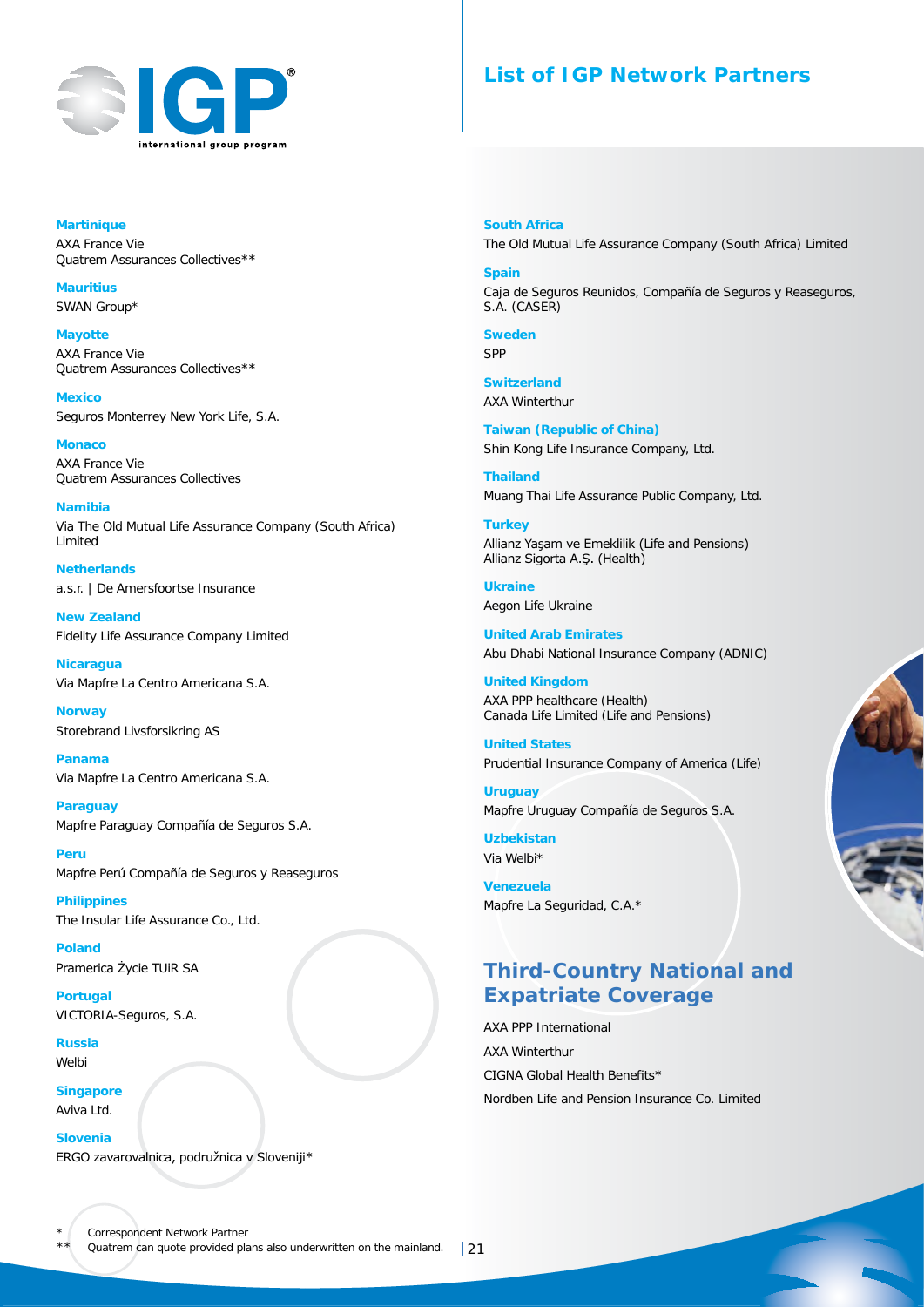

# **List of IGP Network Partners**

**Martinique** AXA France Vie Quatrem Assurances Collectives\*\*

**Mauritius** SWAN Group\*

**Mayotte** AXA France Vie Quatrem Assurances Collectives\*\*

**Mexico** Seguros Monterrey New York Life, S.A.

**Monaco** AXA France Vie Quatrem Assurances Collectives

**Namibia** Via The Old Mutual Life Assurance Company (South Africa) Limited

**Netherlands** a.s.r. | De Amersfoortse Insurance

**New Zealand** Fidelity Life Assurance Company Limited

**Nicaragua**  Via Mapfre La Centro Americana S.A.

**Norway** Storebrand Livsforsikring AS

**Panama** Via Mapfre La Centro Americana S.A.

**Paraguay** Mapfre Paraguay Compañía de Seguros S.A.

**Peru** Mapfre Perú Compañía de Seguros y Reaseguros

**Philippines** The Insular Life Assurance Co., Ltd.

**Poland** Pramerica Życie TUiR SA

**Portugal** VICTORIA-Seguros, S.A.

**Russia** Welbi

**Singapore** Aviva Ltd.

**Slovenia** ERGO zavarovalnica, podružnica v Sloveniji\* **South Africa** The Old Mutual Life Assurance Company (South Africa) Limited

**Spain** Caja de Seguros Reunidos, Compañía de Seguros y Reaseguros, S.A. (CASER)

**Sweden** S<sub>pp</sub>

**Switzerland** AXA Winterthur

**Taiwan (Republic of China)** Shin Kong Life Insurance Company, Ltd.

**Thailand** Muang Thai Life Assurance Public Company, Ltd.

**Turkey** Allianz Yaşam ve Emeklilik (Life and Pensions) Allianz Sigorta A.Ş. (Health)

**Ukraine** Aegon Life Ukraine

**United Arab Emirates** Abu Dhabi National Insurance Company (ADNIC)

**United Kingdom** AXA PPP healthcare (Health) Canada Life Limited (Life and Pensions)

**United States** Prudential Insurance Company of America (Life)

**Uruguay** Mapfre Uruguay Compañía de Seguros S.A.

**Uzbekistan** Via Welbi\*

**Venezuela** Mapfre La Seguridad, C.A.\*

# **Third-Country National and Expatriate Coverage**

AXA PPP International AXA Winterthur CIGNA Global Health Benefits\* Nordben Life and Pension Insurance Co. Limited